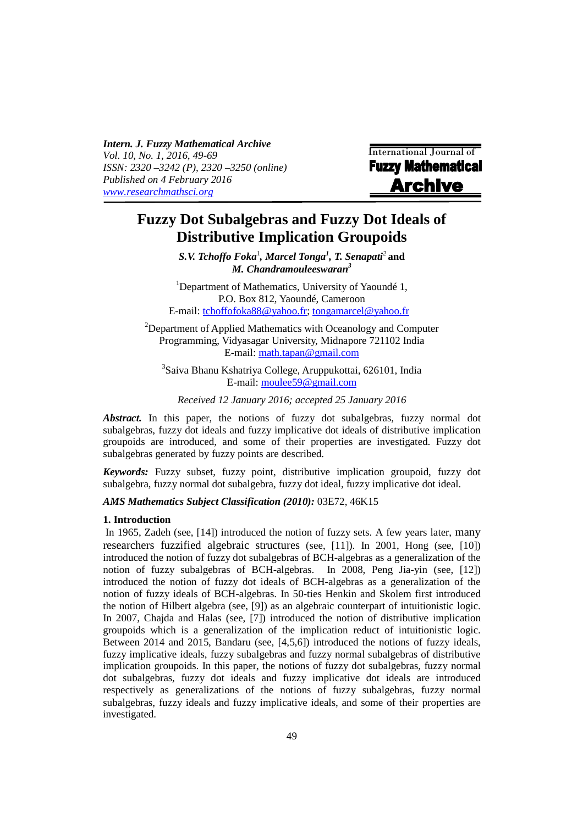*Intern. J. Fuzzy Mathematical Archive Vol. 10, No. 1, 2016, 49-69 ISSN: 2320 –3242 (P), 2320 –3250 (online) Published on 4 February 2016 www.researchmathsci.org*

International Journal of **Fuzzy Mathematical Archive** 

# **Fuzzy Dot Subalgebras and Fuzzy Dot Ideals of Distributive Implication Groupoids**

*S.V. Tchoffo Foka*<sup>1</sup> *, Marcel Tonga<sup>1</sup> , T. Senapati<sup>2</sup>***and** *M. Chandramouleeswaran<sup>3</sup>*

<sup>1</sup>Department of Mathematics, University of Yaoundé 1, P.O. Box 812, Yaoundé, Cameroon E-mail: tchoffofoka88@yahoo.fr; tongamarcel@yahoo.fr

<sup>2</sup>Department of Applied Mathematics with Oceanology and Computer Programming, Vidyasagar University, Midnapore 721102 India E-mail: math.tapan@gmail.com

3 Saiva Bhanu Kshatriya College, Aruppukottai, 626101, India E-mail: moulee59@gmail.com

*Received 12 January 2016; accepted 25 January 2016* 

*Abstract.* In this paper, the notions of fuzzy dot subalgebras, fuzzy normal dot subalgebras, fuzzy dot ideals and fuzzy implicative dot ideals of distributive implication groupoids are introduced, and some of their properties are investigated. Fuzzy dot subalgebras generated by fuzzy points are described.

*Keywords:* Fuzzy subset, fuzzy point, distributive implication groupoid, fuzzy dot subalgebra, fuzzy normal dot subalgebra, fuzzy dot ideal, fuzzy implicative dot ideal.

# *AMS Mathematics Subject Classification (2010):* 03E72, 46K15

## **1. Introduction**

i

 In 1965, Zadeh (see, [14]) introduced the notion of fuzzy sets. A few years later, many researchers fuzzified algebraic structures (see, [11]). In 2001, Hong (see, [10]) introduced the notion of fuzzy dot subalgebras of BCH-algebras as a generalization of the notion of fuzzy subalgebras of BCH-algebras. In 2008, Peng Jia-yin (see, [12]) introduced the notion of fuzzy dot ideals of BCH-algebras as a generalization of the notion of fuzzy ideals of BCH-algebras. In 50-ties Henkin and Skolem first introduced the notion of Hilbert algebra (see, [9]) as an algebraic counterpart of intuitionistic logic. In 2007, Chajda and Halas (see, [7]) introduced the notion of distributive implication groupoids which is a generalization of the implication reduct of intuitionistic logic. Between 2014 and 2015, Bandaru (see, [4,5,6]) introduced the notions of fuzzy ideals, fuzzy implicative ideals, fuzzy subalgebras and fuzzy normal subalgebras of distributive implication groupoids. In this paper, the notions of fuzzy dot subalgebras, fuzzy normal dot subalgebras, fuzzy dot ideals and fuzzy implicative dot ideals are introduced respectively as generalizations of the notions of fuzzy subalgebras, fuzzy normal subalgebras, fuzzy ideals and fuzzy implicative ideals, and some of their properties are investigated.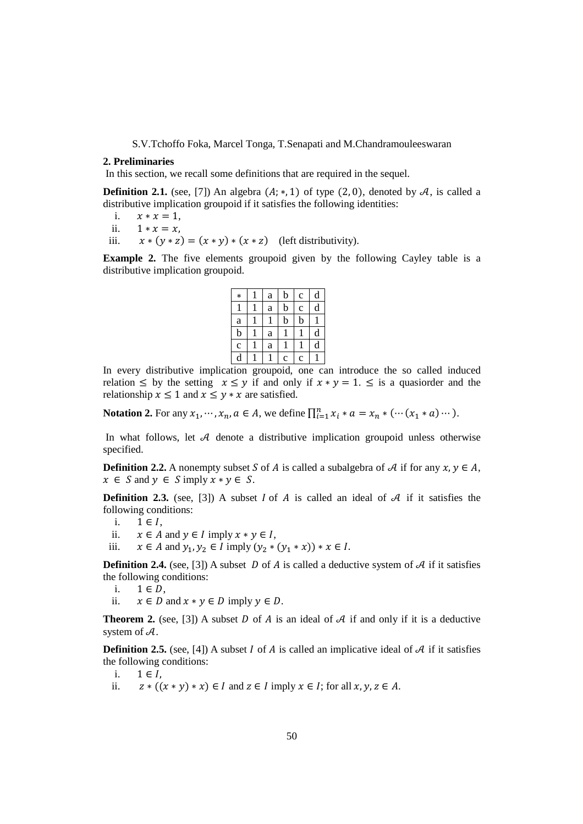## **2. Preliminaries**

In this section, we recall some definitions that are required in the sequel.

**Definition 2.1.** (see, [7]) An algebra  $(A; *, 1)$  of type  $(2, 0)$ , denoted by  $A$ , is called a distributive implication groupoid if it satisfies the following identities:

- i.  $x * x = 1$ ,<br>ii.  $1 * x = x$ .
- ii.  $1 * x = x$ ,<br>iii.  $x * (y * z)$
- $x * (y * z) = (x * y) * (x * z)$  (left distributivity).

**Example 2.** The five elements groupoid given by the following Cayley table is a distributive implication groupoid.

| $\ast$      | a           | b           | C           | d |
|-------------|-------------|-------------|-------------|---|
|             | $\mathbf a$ | b           | $\mathbf c$ | d |
| $\rm{a}$    |             | b           | $\mathbf b$ |   |
| $\mathbf b$ | $\mathbf a$ |             |             | d |
| $\mathbf c$ | a           |             |             | d |
| d           |             | $\mathbf c$ | $\mathbf c$ |   |

In every distributive implication groupoid, one can introduce the so called induced relation  $\leq$  by the setting  $x \leq y$  if and only if  $x * y = 1$ .  $\leq$  is a quasioner and the relationship  $x \leq 1$  and  $x \leq y * x$  are satisfied.

**Notation 2.** For any  $x_1, \dots, x_n, a \in A$ , we define  $\prod_{i=1}^n x_i * a = x_n * (\dots (x_1 * a) \dots)$ .

In what follows, let  $A$  denote a distributive implication groupoid unless otherwise specified.

**Definition 2.2.** A nonempty subset S of A is called a subalgebra of A if for any  $x, y \in A$ ,  $x \in S$  and  $y \in S$  imply  $x * y \in S$ .

**Definition 2.3.** (see, [3]) A subset  $I$  of  $A$  is called an ideal of  $A$  if it satisfies the following conditions:

- i.  $1 \in I$ ,<br>ii.  $x \in A$
- ii.  $x \in A$  and  $y \in I$  imply  $x * y \in I$ ,
- iii.  $x \in A$  and  $y_1, y_2 \in I$  imply  $(y_2 * (y_1 * x)) * x \in I$ .

**Definition 2.4.** (see, [3]) A subset D of A is called a deductive system of  $\mathcal{A}$  if it satisfies the following conditions:

- i.  $1 \in D$ ,<br>ii.  $x \in D$
- $x \in D$  and  $x * y \in D$  imply  $y \in D$ .

**Theorem 2.** (see, [3]) A subset D of A is an ideal of A if and only if it is a deductive system of  $\mathcal{A}$ .

**Definition 2.5.** (see, [4]) A subset  $I$  of  $A$  is called an implicative ideal of  $A$  if it satisfies the following conditions:

- i.  $1 \in I$ ,<br>ii.  $z * (1)$
- ii.  $z * ((x * y) * x) \in I$  and  $z \in I$  imply  $x \in I$ ; for all  $x, y, z \in A$ .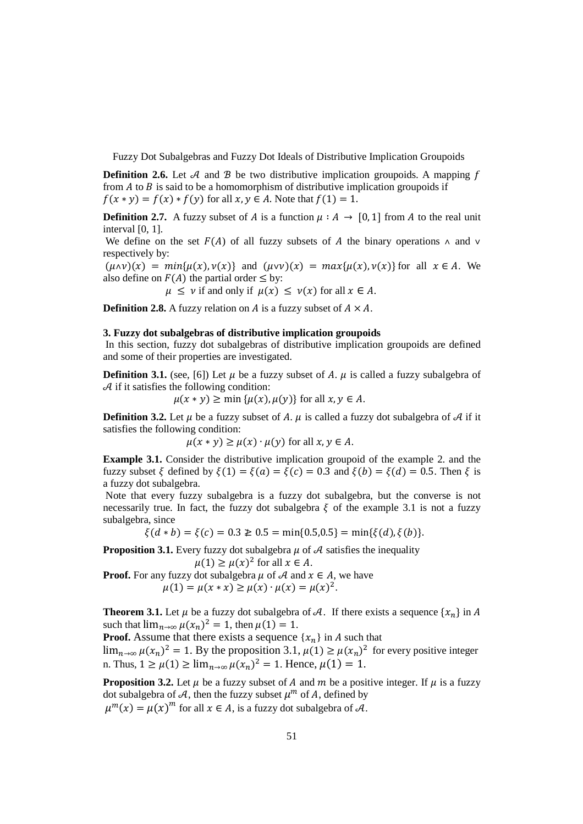**Definition 2.6.** Let  $A$  and  $B$  be two distributive implication groupoids. A mapping  $f$ from  $A$  to  $B$  is said to be a homomorphism of distributive implication groupoids if  $f(x * y) = f(x) * f(y)$  for all  $x, y \in A$ . Note that  $f(1) = 1$ .

**Definition 2.7.** A fuzzy subset of A is a function  $\mu : A \to [0, 1]$  from A to the real unit interval [0, 1].

We define on the set  $F(A)$  of all fuzzy subsets of A the binary operations  $\wedge$  and  $\vee$ respectively by:

 $(\mu \land \nu)(x) = min{\mu(x), \nu(x)}$  and  $(\mu \lor \nu)(x) = max{\mu(x), \nu(x)}$  for all  $x \in A$ . We also define on  $F(A)$  the partial order  $\leq$  by:

 $\mu \leq \nu$  if and only if  $\mu(x) \leq \nu(x)$  for all  $x \in A$ .

**Definition 2.8.** A fuzzy relation on  $A$  is a fuzzy subset of  $A \times A$ .

### **3. Fuzzy dot subalgebras of distributive implication groupoids**

 In this section, fuzzy dot subalgebras of distributive implication groupoids are defined and some of their properties are investigated.

**Definition 3.1.** (see, [6]) Let  $\mu$  be a fuzzy subset of A.  $\mu$  is called a fuzzy subalgebra of  $\mathcal A$  if it satisfies the following condition:

 $\mu(x * y) \ge \min{\{\mu(x), \mu(y)\}}$  for all  $x, y \in A$ .

**Definition 3.2.** Let  $\mu$  be a fuzzy subset of A.  $\mu$  is called a fuzzy dot subalgebra of A if it satisfies the following condition:

 $\mu(x * y) \geq \mu(x) \cdot \mu(y)$  for all  $x, y \in A$ .

**Example 3.1.** Consider the distributive implication groupoid of the example 2. and the fuzzy subset  $\xi$  defined by  $\xi(1) = \xi(a) = \xi(c) = 0.3$  and  $\xi(b) = \xi(d) = 0.5$ . Then  $\xi$  is a fuzzy dot subalgebra.

 Note that every fuzzy subalgebra is a fuzzy dot subalgebra, but the converse is not necessarily true. In fact, the fuzzy dot subalgebra  $\xi$  of the example 3.1 is not a fuzzy subalgebra, since

 $\xi(d * b) = \xi(c) = 0.3 \ge 0.5 = \min\{0.5, 0.5\} = \min\{\xi(d), \xi(b)\}.$ 

**Proposition 3.1.** Every fuzzy dot subalgebra  $\mu$  of  $\mathcal A$  satisfies the inequality  $\mu(1) \geq \mu(x)^2$  for all  $x \in A$ .

**Proof.** For any fuzzy dot subalgebra  $\mu$  of  $\mathcal{A}$  and  $x \in A$ , we have  $\mu(1) = \mu(x * x) \ge \mu(x) \cdot \mu(x) = \mu(x)^2$ .

**Theorem 3.1.** Let  $\mu$  be a fuzzy dot subalgebra of A. If there exists a sequence  $\{x_n\}$  in A such that  $\lim_{n\to\infty} \mu(x_n)^2 = 1$ , then  $\mu(1) = 1$ .

**Proof.** Assume that there exists a sequence  $\{x_n\}$  in A such that

 $\lim_{n\to\infty}\mu(x_n)^2=1$ . By the proposition 3.1,  $\mu(1)\geq \mu(x_n)^2$  for every positive integer n. Thus,  $1 \ge \mu(1) \ge \lim_{n \to \infty} \mu(x_n)^2 = 1$ . Hence,  $\mu(1) = 1$ .

**Proposition 3.2.** Let  $\mu$  be a fuzzy subset of A and  $m$  be a positive integer. If  $\mu$  is a fuzzy dot subalgebra of  $A$ , then the fuzzy subset  $\mu^m$  of A, defined by

 $\mu^{m}(x) = \mu(x)^{m}$  for all  $x \in A$ , is a fuzzy dot subalgebra of  $\mathcal{A}$ .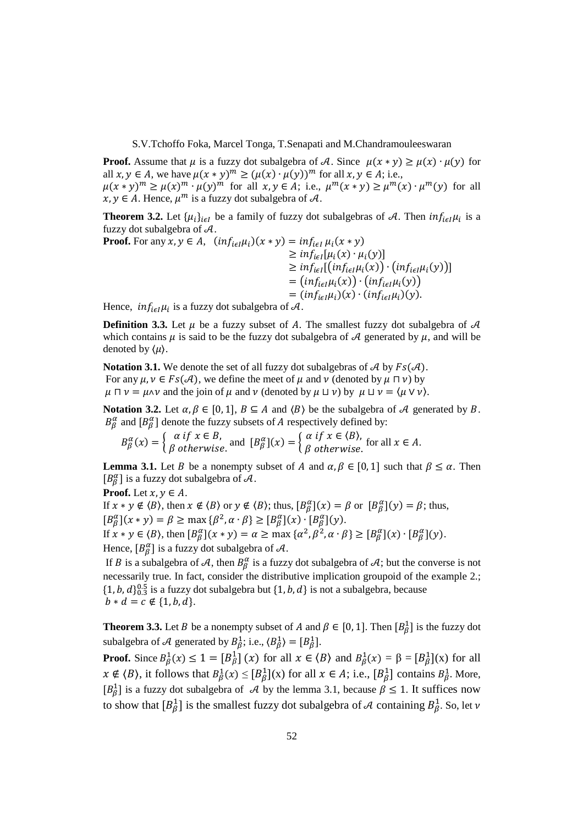**Proof.** Assume that  $\mu$  is a fuzzy dot subalgebra of A. Since  $\mu(x * y) \ge \mu(x) \cdot \mu(y)$  for all  $x, y \in A$ , we have  $\mu(x * y)^m \ge (\mu(x) \cdot \mu(y))^m$  for all  $x, y \in A$ ; i.e.,  $\mu(x * y)^m \ge \mu(x)^m \cdot \mu(y)^m$  for all  $x, y \in A$ ; i.e.,  $\mu^m(x * y) \ge \mu^m(x) \cdot \mu^m(y)$  for all  $x, y \in A$ . Hence,  $\mu^m$  is a fuzzy dot subalgebra of A.

**Theorem 3.2.** Let  $\{\mu_i\}_{i \in I}$  be a family of fuzzy dot subalgebras of A. Then  $inf_{i \in I} \mu_i$  is a fuzzy dot subalgebra of  $A$ .

Proof. For any 
$$
x, y \in A
$$
,  $(inf_{i \in I} \mu_i)(x * y) = inf_{i \in I} \mu_i(x * y)$   
\n $\geq inf_{i \in I} [\mu_i(x) \cdot \mu_i(y)]$   
\n $\geq inf_{i \in I} [inf_{i \in I} \mu_i(x)) \cdot (inf_{i \in I} \mu_i(y))]$   
\n $= (inf_{i \in I} \mu_i)(x) \cdot (inf_{i \in I} \mu_i)(y).$ 

Hence,  $inf_{i \in I} \mu_i$  is a fuzzy dot subalgebra of A.

**Definition 3.3.** Let  $\mu$  be a fuzzy subset of A. The smallest fuzzy dot subalgebra of  $\mathcal{A}$ which contains  $\mu$  is said to be the fuzzy dot subalgebra of A generated by  $\mu$ , and will be denoted by  $\langle \mu \rangle$ .

**Notation 3.1.** We denote the set of all fuzzy dot subalgebras of  $\mathcal{A}$  by  $Fs(\mathcal{A})$ . For any  $\mu, \nu \in Fs(\mathcal{A})$ , we define the meet of  $\mu$  and  $\nu$  (denoted by  $\mu \sqcap \nu$ ) by  $\mu \Box \nu = \mu \Delta \nu$  and the join of  $\mu$  and  $\nu$  (denoted by  $\mu \Box \nu$ ) by  $\mu \Box \nu = \langle \mu \lor \nu \rangle$ .

**Notation 3.2.** Let  $\alpha, \beta \in [0, 1]$ ,  $B \subseteq A$  and  $\langle B \rangle$  be the subalgebra of A generated by B.  $B_{\beta}^{\alpha}$  and  $[B_{\beta}^{\alpha}]$  denote the fuzzy subsets of A respectively defined by:

 $B_{\beta}^{\alpha}(x) = \begin{cases} \alpha \text{ if } x \in B, \\ \beta \text{ otherwise.} \end{cases}$  and  $[B_{\beta}^{\alpha}](x) = \begin{cases} \alpha \text{ if } x \in \langle B \rangle, \\ \beta \text{ otherwise.} \end{cases}$  for all  $x \in A$ .

**Lemma 3.1.** Let *B* be a nonempty subset of *A* and  $\alpha, \beta \in [0, 1]$  such that  $\beta \leq \alpha$ . Then  $[B^{\alpha}_{\beta}]$  is a fuzzy dot subalgebra of  $\mathcal{A}$ .

**Proof.** Let  $x, y \in A$ . If  $x * y \notin \langle B \rangle$ , then  $x \notin \langle B \rangle$  or  $y \notin \langle B \rangle$ ; thus,  $[B_{\beta}^{\alpha}](x) = \beta$  or  $[B_{\beta}^{\alpha}](y) = \beta$ ; thus,  $[B^{\alpha}_{\beta}](x * y) = \beta \ge \max \{\beta^2, \alpha \cdot \beta\} \ge [B^{\alpha}_{\beta}](x) \cdot [B^{\alpha}_{\beta}](y).$ If  $x * y \in \langle B \rangle$ , then  $[B^{\alpha}_{\beta}](x * y) = \alpha \ge \max{\{\alpha^2, \beta^2, \alpha \cdot \beta\}} \ge [B^{\alpha}_{\beta}](x) \cdot [B^{\alpha}_{\beta}](y)$ . Hence,  $[B^{\alpha}_{\beta}]$  is a fuzzy dot subalgebra of  $\mathcal{A}$ .

If B is a subalgebra of A, then  $B_{\beta}^{\alpha}$  is a fuzzy dot subalgebra of A; but the converse is not necessarily true. In fact, consider the distributive implication groupoid of the example 2.;  $\{1, b, d\}_{0.3}^{0.5}$  is a fuzzy dot subalgebra but  $\{1, b, d\}$  is not a subalgebra, because  $b * d = c \notin \{1, b, d\}.$ 

**Theorem 3.3.** Let *B* be a nonempty subset of *A* and  $\beta \in [0, 1]$ . Then  $[B_{\beta}^1]$  is the fuzzy dot subalgebra of A generated by  $B_{\beta}^1$ ; i.e.,  $\langle B_{\beta}^1 \rangle = [B_{\beta}^1]$ .

**Proof.** Since  $B_{\beta}^1(x) \le 1 = [B_{\beta}^1](x)$  for all  $x \in \langle B \rangle$  and  $B_{\beta}^1(x) = \beta = [B_{\beta}^1](x)$  for all  $x \notin \langle B \rangle$ , it follows that  $B_{\beta}^1(x) \leq [B_{\beta}^1](x)$  for all  $x \in A$ ; i.e.,  $[B_{\beta}^1]$  contains  $B_{\beta}^1$ . More,  $[B_\beta^1]$  is a fuzzy dot subalgebra of A by the lemma 3.1, because  $\beta \le 1$ . It suffices now to show that  $[B^1_\beta]$  is the smallest fuzzy dot subalgebra of A containing  $B^1_\beta$ . So, let v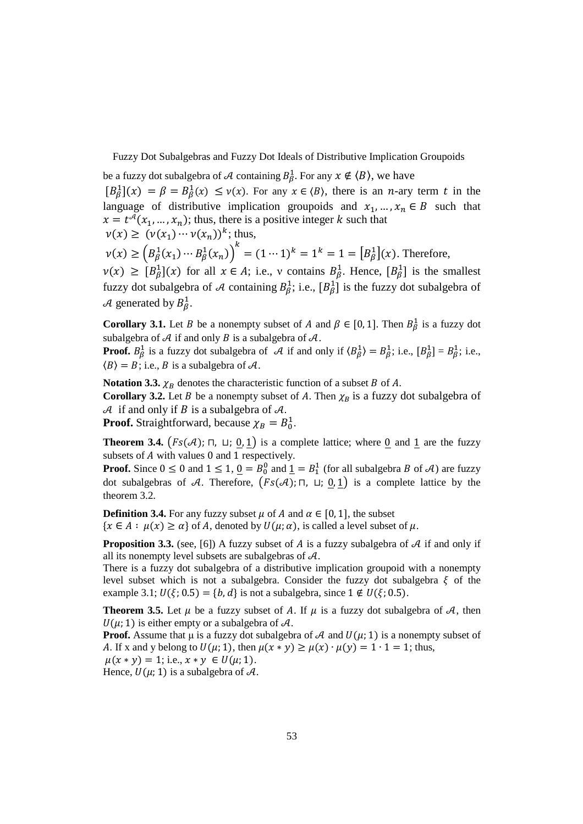be a fuzzy dot subalgebra of A containing  $B^1_\beta$ . For any  $x \notin \langle B \rangle$ , we have

 $[B_\beta^1](x) = \beta = B_\beta^1(x) \le v(x)$ . For any  $x \in \langle B \rangle$ , there is an *n*-ary term *t* in the language of distributive implication groupoids and  $x_1, ..., x_n \in B$  such that  $x = t^{\mathcal{A}}(x_1, ..., x_n)$ ; thus, there is a positive integer k such that  $\nu(x) \geq (\nu(x_1) \cdots \nu(x_n))^k$ ; thus,

$$
\nu(x) \ge \left(B_{\beta}^{1}(x_{1}) \cdots B_{\beta}^{1}(x_{n})\right)^{k} = (1 \cdots 1)^{k} = 1^{k} = 1 = \left[B_{\beta}^{1}\right](x).
$$
 Therefore,

 $\nu(x) \geq [B_{\beta}^{1}](x)$  for all  $x \in A$ ; i.e., v contains  $B_{\beta}^{1}$ . Hence,  $[B_{\beta}^{1}]$  is the smallest fuzzy dot subalgebra of A containing  $B_{\beta}^1$ ; i.e.,  $[B_{\beta}^1]$  is the fuzzy dot subalgebra of A generated by  $B_{\beta}^1$ .

**Corollary 3.1.** Let *B* be a nonempty subset of *A* and  $\beta \in [0, 1]$ . Then  $B_{\beta}^1$  is a fuzzy dot subalgebra of  $A$  if and only  $B$  is a subalgebra of  $A$ .

**Proof.**  $B_{\beta}^1$  is a fuzzy dot subalgebra of A if and only if  $\langle B_{\beta}^1 \rangle = B_{\beta}^1$ ; i.e.,  $[B_{\beta}^1] = B_{\beta}^1$ ; i.e.,  $\langle B \rangle = B$ ; i.e., B is a subalgebra of A.

**Notation 3.3.**  $\chi_B$  denotes the characteristic function of a subset B of A.

**Corollary 3.2.** Let *B* be a nonempty subset of *A*. Then  $\chi_B$  is a fuzzy dot subalgebra of  $\mathcal A$  if and only if B is a subalgebra of  $\mathcal A$ .

**Proof.** Straightforward, because  $\chi_B = B_0^1$ .

**Theorem 3.4.**  $\left(Fs(\mathcal{A}); \Pi, \Pi; \underline{0}, \underline{1}\right)$  is a complete lattice; where  $\underline{0}$  and  $\underline{1}$  are the fuzzy subsets of  $A$  with values 0 and 1 respectively.

**Proof.** Since  $0 \le 0$  and  $1 \le 1$ ,  $\underline{0} = B_0^0$  and  $\underline{1} = B_1^1$  (for all subalgebra B of A) are fuzzy dot subalgebras of A. Therefore,  $(Fs(A); \Pi, \Pi; 0, 1)$  is a complete lattice by the theorem 3.2.

**Definition 3.4.** For any fuzzy subset  $\mu$  of  $A$  and  $\alpha \in [0, 1]$ , the subset  $\{x \in A : \mu(x) \ge \alpha\}$  of A, denoted by  $U(\mu; \alpha)$ , is called a level subset of  $\mu$ .

**Proposition 3.3.** (see, [6]) A fuzzy subset of  $A$  is a fuzzy subalgebra of  $A$  if and only if all its nonempty level subsets are subalgebras of  $A$ .

There is a fuzzy dot subalgebra of a distributive implication groupoid with a nonempty level subset which is not a subalgebra. Consider the fuzzy dot subalgebra  $\xi$  of the example 3.1;  $U(\xi; 0.5) = \{b, d\}$  is not a subalgebra, since  $1 \notin U(\xi; 0.5)$ .

**Theorem 3.5.** Let  $\mu$  be a fuzzy subset of A. If  $\mu$  is a fuzzy dot subalgebra of A, then  $U(\mu; 1)$  is either empty or a subalgebra of A.

**Proof.** Assume that  $\mu$  is a fuzzy dot subalgebra of A and  $U(\mu; 1)$  is a nonempty subset of A. If x and y belong to  $U(\mu; 1)$ , then  $\mu(x * y) \ge \mu(x) \cdot \mu(y) = 1 \cdot 1 = 1$ ; thus,  $\mu(x * y) = 1$ ; i.e.,  $x * y \in U(\mu; 1)$ .

Hence,  $U(\mu; 1)$  is a subalgebra of A.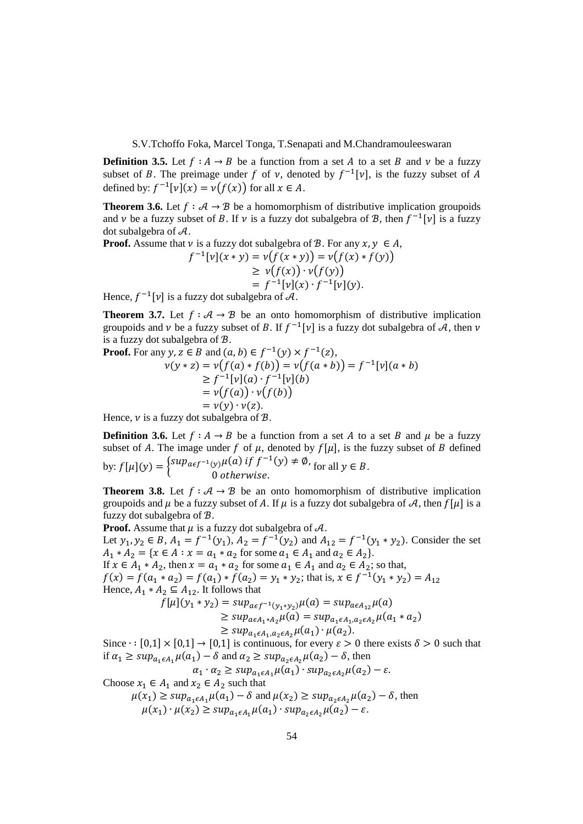**Definition 3.5.** Let  $f : A \rightarrow B$  be a function from a set A to a set B and v be a fuzzy subset of B. The preimage under f of  $\nu$ , denoted by  $f^{-1}[\nu]$ , is the fuzzy subset of A defined by:  $f^{-1}[v](x) = v(f(x))$  for all  $x \in A$ .

**Theorem 3.6.** Let  $f : A \rightarrow B$  be a homomorphism of distributive implication groupoids and  $\nu$  be a fuzzy subset of B. If  $\nu$  is a fuzzy dot subalgebra of B, then  $f^{-1}[\nu]$  is a fuzzy dot subalgebra of  $A$ .

**Proof.** Assume that  $\nu$  is a fuzzy dot subalgebra of  $\mathcal{B}$ . For any  $x, y \in A$ ,

$$
f^{-1}[v](x * y) = v(f(x * y)) = v(f(x) * f(y))
$$
  
\n
$$
\geq v(f(x)) \cdot v(f(y))
$$
  
\n
$$
= f^{-1}[v](x) \cdot f^{-1}[v](y).
$$

Hence,  $f^{-1}[\nu]$  is a fuzzy dot subalgebra of  $\mathcal{A}$ .

**Theorem 3.7.** Let  $f : A \rightarrow B$  be an onto homomorphism of distributive implication groupoids and  $\nu$  be a fuzzy subset of B. If  $f^{-1}[\nu]$  is a fuzzy dot subalgebra of A, then  $\nu$ is a fuzzy dot subalgebra of  $\mathcal{B}$ .

**Proof.** For any 
$$
y, z \in B
$$
 and  $(a, b) \in f^{-1}(y) \times f^{-1}(z)$ ,  
\n
$$
v(y * z) = v(f(a) * f(b)) = v(f(a * b)) = f^{-1}[v](a * b)
$$
\n
$$
\geq f^{-1}[v](a) \cdot f^{-1}[v](b)
$$
\n
$$
= v(f(a)) \cdot v(f(b))
$$
\n
$$
= v(y) \cdot v(z).
$$

Hence,  $\nu$  is a fuzzy dot subalgebra of  $\mathcal{B}$ .

**Definition 3.6.** Let  $f : A \rightarrow B$  be a function from a set A to a set B and  $\mu$  be a fuzzy subset of A. The image under f of  $\mu$ , denoted by  $f[\mu]$ , is the fuzzy subset of B defined by:  $f[\mu](y) = \begin{cases} \sup_{a \in f^{-1}(y)} \mu(a) & \text{if } f^{-1}(y) \neq \emptyset, \\ 0 & \text{otherwise.} \end{cases}$ 0 otherwise. for all  $y \in B$ .

**Theorem 3.8.** Let  $f : A \rightarrow B$  be an onto homomorphism of distributive implication groupoids and  $\mu$  be a fuzzy subset of A. If  $\mu$  is a fuzzy dot subalgebra of A, then  $f[\mu]$  is a fuzzy dot subalgebra of  $B$ .

**Proof.** Assume that  $\mu$  is a fuzzy dot subalgebra of  $\mathcal{A}$ .

Let  $y_1, y_2 \in B$ ,  $A_1 = f^{-1}(y_1)$ ,  $A_2 = f^{-1}(y_2)$  and  $A_{12} = f^{-1}(y_1 * y_2)$ . Consider the set  $A_1 * A_2 = \{x \in A : x = a_1 * a_2 \text{ for some } a_1 \in A_1 \text{ and } a_2 \in A_2\}.$ If  $x \in A_1 * A_2$ , then  $x = a_1 * a_2$  for some  $a_1 \in A_1$  and  $a_2 \in A_2$ ; so that,

 $f(x) = f(a_1 * a_2) = f(a_1) * f(a_2) = y_1 * y_2$ ; that is,  $x \in f^{-1}(y_1 * y_2) = A_{12}$ Hence,  $A_1 * A_2 \subseteq A_{12}$ . It follows that

$$
f[\mu](y_1 * y_2) = \sup_{a \in f^{-1}(y_1 * y_2)} \mu(a) = \sup_{a \in A_{12}} \mu(a)
$$
  
\n
$$
\geq \sup_{a \in A_1 * A_2} \mu(a) = \sup_{a_1 \in A_1, a_2 \in A_2} \mu(a_1 * a_2)
$$
  
\n
$$
\geq \sup_{a_1 \in A_1, a_2 \in A_2} \mu(a_1) \cdot \mu(a_2).
$$

Since  $\cdot$  : [0,1] × [0,1] → [0,1] is continuous, for every  $\varepsilon > 0$  there exists  $\delta > 0$  such that if  $\alpha_1 \ge \sup_{a_1 \in A_1} \mu(a_1) - \delta$  and  $\alpha_2 \ge \sup_{a_2 \in A_2} \mu(a_2) - \delta$ , then

$$
\alpha_1 \cdot \alpha_2 \ge \sup_{a_1 \in A_1} \mu(a_1) \cdot \sup_{a_2 \in A_2} \mu(a_2) - \varepsilon.
$$

Choose 
$$
x_1 \in A_1
$$
 and  $x_2 \in A_2$  such that  
\n
$$
\mu(x_1) \ge \sup_{a_1 \in A_1} \mu(a_1) - \delta
$$
 and 
$$
\mu(x_2) \ge \sup_{a_2 \in A_2} \mu(a_2) - \delta
$$
, then  
\n
$$
\mu(x_1) \cdot \mu(x_2) \ge \sup_{a_1 \in A_1} \mu(a_1) \cdot \sup_{a_2 \in A_2} \mu(a_2) - \varepsilon.
$$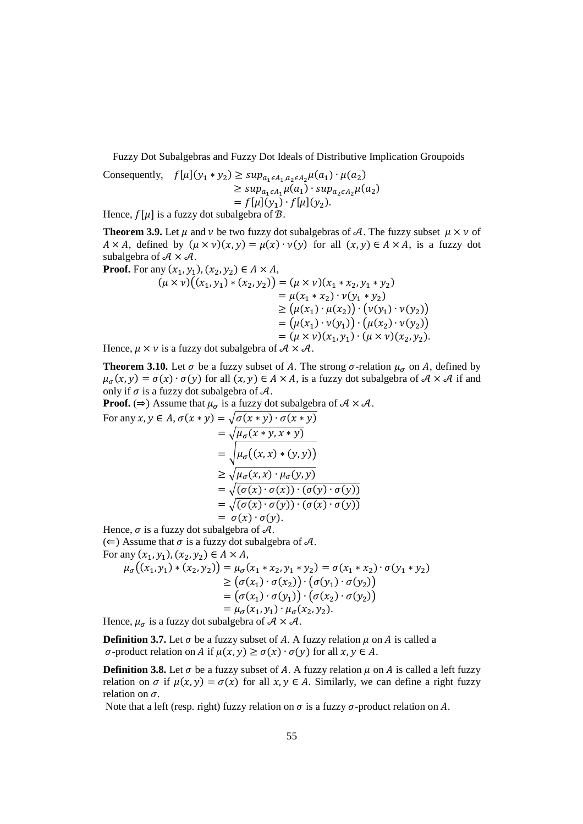Consequently,  $f[\mu](y_1 * y_2) \ge \sup_{a_1 \in A_1, a_2 \in A_2} \mu(a_1) \cdot \mu(a_2)$  $\geq \sup_{a_1 \in A_1} \mu(a_1) \cdot \sup_{a_2 \in A_2} \mu(a_2)$  $= f[\mu](y_1) \cdot f[\mu](y_2).$ 

Hence,  $f[\mu]$  is a fuzzy dot subalgebra of  $\mathcal{B}$ .

**Theorem 3.9.** Let  $\mu$  and  $\nu$  be two fuzzy dot subalgebras of A. The fuzzy subset  $\mu \times \nu$  of  $A \times A$ , defined by  $(\mu \times \nu)(x, y) = \mu(x) \cdot \nu(y)$  for all  $(x, y) \in A \times A$ , is a fuzzy dot subalgebra of  $A \times A$ .

**Proof.** For any  $(x_1, y_1)$ ,  $(x_2, y_2) \in A \times A$ ,

$$
(\mu \times \nu)((x_1, y_1) * (x_2, y_2)) = (\mu \times \nu)(x_1 * x_2, y_1 * y_2)
$$
  
=  $\mu(x_1 * x_2) \cdot \nu(y_1 * y_2)$   
 $\geq (\mu(x_1) \cdot \mu(x_2)) \cdot (\nu(y_1) \cdot \nu(y_2))$   
=  $(\mu(x_1) \cdot \nu(y_1)) \cdot (\mu(x_2) \cdot \nu(y_2))$   
=  $(\mu \times \nu)(x_1, y_1) \cdot (\mu \times \nu)(x_2, y_2).$ 

Hence,  $\mu \times \nu$  is a fuzzy dot subalgebra of  $\mathcal{A} \times \mathcal{A}$ .

**Theorem 3.10.** Let  $\sigma$  be a fuzzy subset of A. The strong  $\sigma$ -relation  $\mu_{\sigma}$  on A, defined by  $\mu_{\sigma}(x, y) = \sigma(x) \cdot \sigma(y)$  for all  $(x, y) \in A \times A$ , is a fuzzy dot subalgebra of  $A \times A$  if and only if  $\sigma$  is a fuzzy dot subalgebra of  $\mathcal{A}$ .

**Proof.** ( $\Rightarrow$ ) Assume that  $\mu_{\sigma}$  is a fuzzy dot subalgebra of  $\mathcal{A} \times \mathcal{A}$ .

For any 
$$
x, y \in A
$$
,  $\sigma(x * y) = \sqrt{\sigma(x * y) \cdot \sigma(x * y)}$   
\t\t\t\t $= \sqrt{\mu_{\sigma}(x * y, x * y)}$   
\t\t\t\t $= \sqrt{\mu_{\sigma}((x, x) * (y, y))}$   
\t\t\t\t $\geq \sqrt{\mu_{\sigma}(x, x) \cdot \mu_{\sigma}(y, y)}$   
\t\t\t\t $= \sqrt{(\sigma(x) \cdot \sigma(x)) \cdot (\sigma(y) \cdot \sigma(y))}$   
\t\t\t\t $= \sigma(x) \cdot \sigma(y)$ .

Hence,  $\sigma$  is a fuzzy dot subalgebra of  $\mathcal{A}$ .  $(\Leftarrow)$  Assume that  $\sigma$  is a fuzzy dot subalgebra of A. For any  $(x_1, y_1), (x_2, y_2) \in A \times A$ ,

$$
\mu_{\sigma}((x_1, y_1) * (x_2, y_2)) = \mu_{\sigma}(x_1 * x_2, y_1 * y_2) = \sigma(x_1 * x_2) \cdot \sigma(y_1 * y_2)
$$
  
\n
$$
\geq (\sigma(x_1) \cdot \sigma(x_2)) \cdot (\sigma(y_1) \cdot \sigma(y_2))
$$
  
\n
$$
= (\sigma(x_1) \cdot \sigma(y_1)) \cdot (\sigma(x_2) \cdot \sigma(y_2))
$$
  
\n
$$
= \mu_{\sigma}(x_1, y_1) \cdot \mu_{\sigma}(x_2, y_2).
$$

Hence,  $\mu_{\sigma}$  is a fuzzy dot subalgebra of  $\mathcal{A} \times \mathcal{A}$ .

**Definition 3.7.** Let  $\sigma$  be a fuzzy subset of A. A fuzzy relation  $\mu$  on A is called a  $\sigma$ -product relation on A if  $\mu(x, y) \ge \sigma(x) \cdot \sigma(y)$  for all  $x, y \in A$ .

**Definition 3.8.** Let  $\sigma$  be a fuzzy subset of A. A fuzzy relation  $\mu$  on A is called a left fuzzy relation on  $\sigma$  if  $\mu(x, y) = \sigma(x)$  for all  $x, y \in A$ . Similarly, we can define a right fuzzy relation on  $\sigma$ .

Note that a left (resp. right) fuzzy relation on  $\sigma$  is a fuzzy  $\sigma$ -product relation on  $A$ .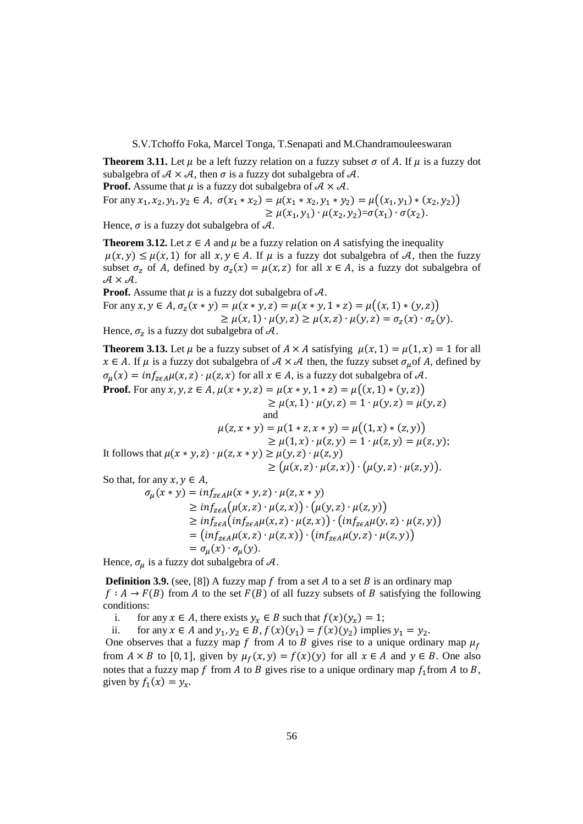**Theorem 3.11.** Let  $\mu$  be a left fuzzy relation on a fuzzy subset  $\sigma$  of A. If  $\mu$  is a fuzzy dot subalgebra of  $A \times A$ , then  $\sigma$  is a fuzzy dot subalgebra of  $A$ .

**Proof.** Assume that  $\mu$  is a fuzzy dot subalgebra of  $A \times A$ .

For any 
$$
x_1, x_2, y_1, y_2 \in A
$$
,  $\sigma(x_1 * x_2) = \mu(x_1 * x_2, y_1 * y_2) = \mu((x_1, y_1) * (x_2, y_2))$   
\n $\geq \mu(x_1, y_1) \cdot \mu(x_2, y_2) = \sigma(x_1) \cdot \sigma(x_2).$ 

Hence,  $\sigma$  is a fuzzy dot subalgebra of  $\mathcal{A}$ .

**Theorem 3.12.** Let  $z \in A$  and  $\mu$  be a fuzzy relation on  $A$  satisfying the inequality  $\mu(x, y) \leq \mu(x, 1)$  for all  $x, y \in A$ . If  $\mu$  is a fuzzy dot subalgebra of A, then the fuzzy subset  $\sigma_z$  of A, defined by  $\sigma_z(x) = \mu(x, z)$  for all  $x \in A$ , is a fuzzy dot subalgebra of  $A \times A$ .

**Proof.** Assume that  $\mu$  is a fuzzy dot subalgebra of  $\mathcal{A}$ . For any  $x, y \in A$ ,  $\sigma_z(x * y) = \mu(x * y, z) = \mu(x * y, 1 * z) = \mu((x, 1) * (y, z))$  $\geq \mu(x, 1) \cdot \mu(y, z) \geq \mu(x, z) \cdot \mu(y, z) = \sigma_z(x) \cdot \sigma_z(y).$ 

Hence,  $\sigma_z$  is a fuzzy dot subalgebra of A.

**Theorem 3.13.** Let  $\mu$  be a fuzzy subset of  $A \times A$  satisfying  $\mu(x, 1) = \mu(1, x) = 1$  for all  $x \in A$ . If  $\mu$  is a fuzzy dot subalgebra of  $A \times A$  then, the fuzzy subset  $\sigma_{\mu}$  of A, defined by  $\sigma_{\mu}(x) = inf_{z \in A} \mu(x, z) \cdot \mu(z, x)$  for all  $x \in A$ , is a fuzzy dot subalgebra of A. **Proof.** For any  $x, y, z \in A$ ,  $\mu(x * y, z) = \mu(x * y, 1 * z) = \mu((x, 1) * (y, z))$  $\geq \mu(x, 1) \cdot \mu(y, z) = 1 \cdot \mu(y, z) = \mu(y, z)$ <br>and and

$$
\mu(z, x * y) = \mu(1 * z, x * y) = \mu((1, x) * (z, y))
$$
  
\n
$$
\geq \mu(1, x) \cdot \mu(z, y) = 1 \cdot \mu(z, y) = \mu(z, y);
$$
  
\nIt follows that  $\mu(x * y, z) \cdot \mu(z, x * y) \geq \mu(y, z) \cdot \mu(z, y)$   
\n
$$
\geq (\mu(x, z) \cdot \mu(z, x)) \cdot (\mu(y, z) \cdot \mu(z, y)).
$$

So that, for any  $x, y \in A$ ,

$$
\sigma_{\mu}(x * y) = inf_{zeA}\mu(x * y, z) \cdot \mu(z, x * y)
$$
  
\n
$$
\geq inf_{zeA}(\mu(x, z) \cdot \mu(z, x)) \cdot (\mu(y, z) \cdot \mu(z, y))
$$
  
\n
$$
\geq inf_{zeA}(inf_{zeA}\mu(x, z) \cdot \mu(z, x)) \cdot (inf_{zeA}\mu(y, z) \cdot \mu(z, y))
$$
  
\n
$$
= (inf_{zeA}\mu(x, z) \cdot \mu(z, x)) \cdot (inf_{zeA}\mu(y, z) \cdot \mu(z, y))
$$
  
\n
$$
= \sigma_{\mu}(x) \cdot \sigma_{\mu}(y).
$$

Hence,  $\sigma_{\mu}$  is a fuzzy dot subalgebra of  $\mathcal{A}$ .

**Definition 3.9.** (see, [8]) A fuzzy map  $f$  from a set  $A$  to a set  $B$  is an ordinary map  $f: A \to F(B)$  from A to the set  $F(B)$  of all fuzzy subsets of B satisfying the following conditions:

i. for any  $x \in A$ , there exists  $y_x \in B$  such that  $f(x)(y_x) = 1$ ;

ii. for any  $x \in A$  and  $y_1, y_2 \in B$ ,  $f(x)(y_1) = f(x)(y_2)$  implies  $y_1 = y_2$ .

One observes that a fuzzy map f from A to B gives rise to a unique ordinary map  $\mu_f$ from  $A \times B$  to [0, 1], given by  $\mu_f(x, y) = f(x)(y)$  for all  $x \in A$  and  $y \in B$ . One also notes that a fuzzy map f from A to B gives rise to a unique ordinary map  $f_1$  from A to B, given by  $f_1(x) = y_x$ .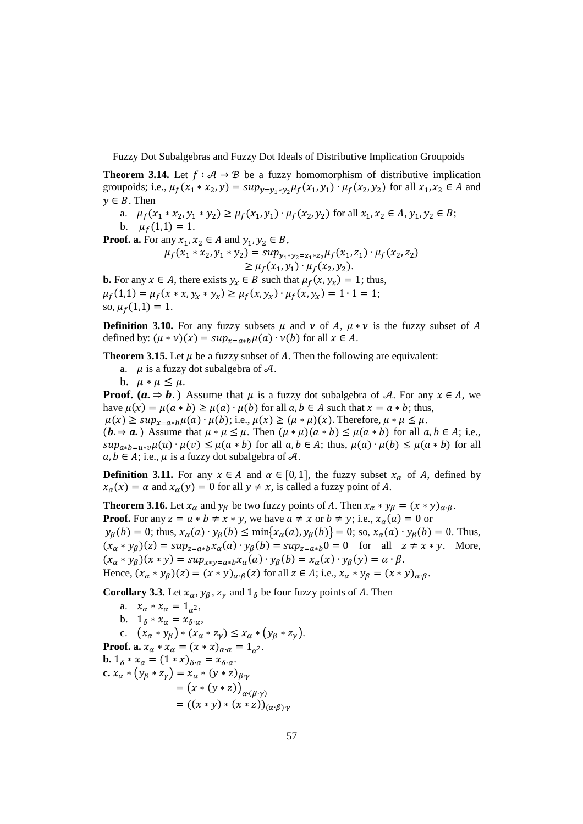**Theorem 3.14.** Let  $f : A \rightarrow B$  be a fuzzy homomorphism of distributive implication groupoids; i.e.,  $\mu_f(x_1 * x_2, y) = \sup_{y = y_1 * y_2} \mu_f(x_1, y_1) \cdot \mu_f(x_2, y_2)$  for all  $x_1, x_2 \in A$  and  $v \in B$ . Then

a.  $\mu_f(x_1 * x_2, y_1 * y_2) \ge \mu_f(x_1, y_1) \cdot \mu_f(x_2, y_2)$  for all  $x_1, x_2 \in A, y_1, y_2 \in B$ ;

b.  $\mu_f(1,1) = 1$ .

**Proof. a.** For any  $x_1, x_2 \in A$  and  $y_1, y_2 \in B$ ,

$$
\mu_f(x_1 * x_2, y_1 * y_2) = \sup_{y_1 * y_2 = z_1 * z_2} \mu_f(x_1, z_1) \cdot \mu_f(x_2, z_2)
$$
  
\n
$$
\geq \mu_f(x_1, y_1) \cdot \mu_f(x_2, y_2).
$$

**b.** For any  $x \in A$ , there exists  $y_x \in B$  such that  $\mu_f(x, y_x) = 1$ ; thus,  $\mu_f(1,1) = \mu_f(x * x, y_x * y_x) \ge \mu_f(x, y_x) \cdot \mu_f(x, y_x) = 1 \cdot 1 = 1;$ so,  $\mu_f(1,1) = 1$ .

**Definition 3.10.** For any fuzzy subsets  $\mu$  and  $\nu$  of A,  $\mu * \nu$  is the fuzzy subset of A defined by:  $(\mu * \nu)(x) = \sup_{x=a*b}\mu(a) \cdot \nu(b)$  for all  $x \in A$ .

**Theorem 3.15.** Let  $\mu$  be a fuzzy subset of A. Then the following are equivalent:

- a.  $\mu$  is a fuzzy dot subalgebra of  $\mathcal{A}$ .
- b.  $\mu * \mu \leq \mu$ .

**Proof.** ( $a \Rightarrow b$ .) Assume that  $\mu$  is a fuzzy dot subalgebra of A. For any  $x \in A$ , we have  $\mu(x) = \mu(a * b) \ge \mu(a) \cdot \mu(b)$  for all  $a, b \in A$  such that  $x = a * b$ ; thus,  $\mu(x) \ge \sup_{x=a*b}\mu(a)\cdot\mu(b)$ ; i.e.,  $\mu(x) \ge (\mu*\mu)(x)$ . Therefore,  $\mu*\mu \le \mu$ .  $(b \Rightarrow a)$  Assume that  $\mu * \mu \leq \mu$ . Then  $(\mu * \mu)(a * b) \leq \mu(a * b)$  for all  $a, b \in A$ ; i.e.,  $sup_{a*b=u*v}\mu(u)\cdot\mu(v)\leq\mu(a*b)$  for all  $a,b\in A$ ; thus,  $\mu(a)\cdot\mu(b)\leq\mu(a*b)$  for all  $a, b \in A$ ; i.e.,  $\mu$  is a fuzzy dot subalgebra of  $\mathcal{A}$ .

**Definition 3.11.** For any  $x \in A$  and  $\alpha \in [0, 1]$ , the fuzzy subset  $x_{\alpha}$  of A, defined by  $x_{\alpha}(x) = \alpha$  and  $x_{\alpha}(y) = 0$  for all  $y \neq x$ , is called a fuzzy point of A.

**Theorem 3.16.** Let  $x_\alpha$  and  $y_\beta$  be two fuzzy points of A. Then  $x_\alpha * y_\beta = (x * y)_{\alpha \cdot \beta}$ . **Proof.** For any  $z = a * b \neq x * y$ , we have  $a \neq x$  or  $b \neq y$ ; i.e.,  $x_{\alpha}(a) = 0$  or  $y_{\beta}(b) = 0$ ; thus,  $x_{\alpha}(a) \cdot y_{\beta}(b) \le \min\{x_{\alpha}(a), y_{\beta}(b)\} = 0$ ; so,  $x_{\alpha}(a) \cdot y_{\beta}(b) = 0$ . Thus,  $(x_{\alpha} * y_{\beta})(z) = \sup_{z=a*b} x_{\alpha}(a) \cdot y_{\beta}(b) = \sup_{z=a*b} 0 = 0$  for all  $z \neq x * y$ . More,  $(x_{\alpha} * y_{\beta})(x * y) = \sup_{x * y = a * b} x_{\alpha}(a) \cdot y_{\beta}(b) = x_{\alpha}(x) \cdot y_{\beta}(y) = \alpha \cdot \beta.$ Hence,  $(x_{\alpha} * y_{\beta})(z) = (x * y)_{\alpha \cdot \beta}(z)$  for all  $z \in A$ ; i.e.,  $x_{\alpha} * y_{\beta} = (x * y)_{\alpha \cdot \beta}$ .

**Corollary 3.3.** Let  $x_{\alpha}, y_{\beta}, z_{\gamma}$  and  $1_{\delta}$  be four fuzzy points of A. Then

a.  $x_{\alpha} * x_{\alpha} = 1_{\alpha^2}$ , b.  $1_{\delta} * x_{\alpha} = x_{\delta \cdot \alpha}$ , c.  $(x_{\alpha} * y_{\beta}) * (x_{\alpha} * z_{\gamma}) \leq x_{\alpha} * (y_{\beta} * z_{\gamma}).$ **Proof. a.**  $x_{\alpha} * x_{\alpha} = (x * x)_{\alpha \cdot \alpha} = 1_{\alpha^2}$ . **b.**  $1_{\delta} * x_{\alpha} = (1 * x)_{\delta \cdot \alpha} = x_{\delta \cdot \alpha}$ . **c.**  $x_{\alpha} * (y_{\beta} * z_{\gamma}) = x_{\alpha} * (y * z)_{\beta \cdot \gamma}$  $= (x * (y * z))_{\alpha \cdot (\beta \cdot \gamma)}$  $= ((x * y) * (x * z))_{(\alpha \cdot \beta) \cdot \gamma}$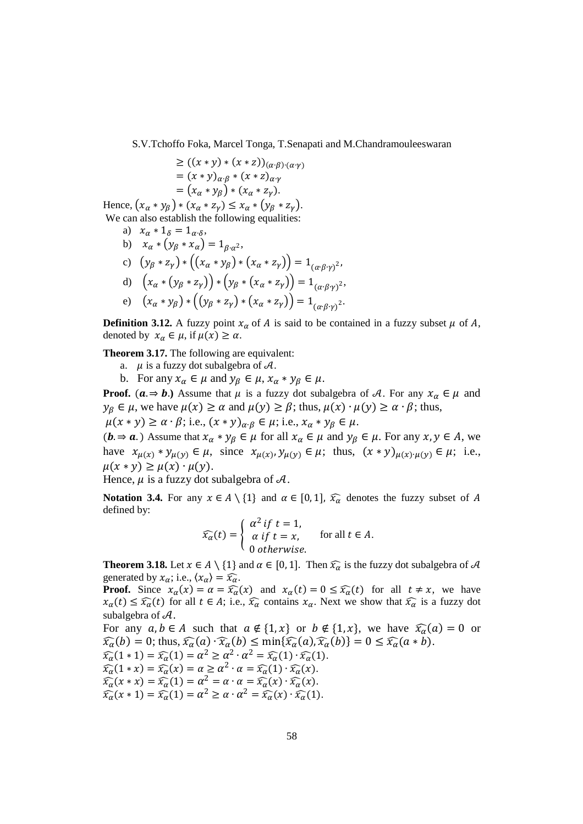$$
\geq ((x * y) * (x * z))_{(\alpha \cdot \beta) \cdot (\alpha \cdot \gamma)}
$$
  
=  $(x * y)_{\alpha \cdot \beta} * (x * z)_{\alpha \cdot \gamma}$   
=  $(x_{\alpha} * y_{\beta}) * (x_{\alpha} * z_{\gamma}).$ 

Hence,  $(x_{\alpha} * y_{\beta}) * (x_{\alpha} * z_{\gamma}) \leq x_{\alpha} * (y_{\beta} * z_{\gamma}).$ We can also establish the following equalities:

a)  $x_{\alpha} * 1_{\delta} = 1_{\alpha \cdot \delta}$ , b)  $x_{\alpha} * (y_{\beta} * x_{\alpha}) = 1_{\beta \cdot \alpha^2}$ , c)  $(y_{\beta} * z_{\gamma}) * ((x_{\alpha} * y_{\beta}) * (x_{\alpha} * z_{\gamma})) = 1_{(\alpha \cdot \beta \cdot \gamma)^{2}},$ d)  $(x_{\alpha} * (y_{\beta} * z_{\gamma})) * (y_{\beta} * (x_{\alpha} * z_{\gamma})) = 1_{(\alpha \cdot \beta \cdot \gamma)^{2}},$ 

e) 
$$
(x_{\alpha} * y_{\beta}) * ((y_{\beta} * z_{\gamma}) * (x_{\alpha} * z_{\gamma})) = 1_{(\alpha \cdot \beta \cdot \gamma)^{2}}
$$
.

**Definition 3.12.** A fuzzy point  $x_{\alpha}$  of A is said to be contained in a fuzzy subset  $\mu$  of A, denoted by  $x_{\alpha} \in \mu$ , if  $\mu(x) \ge \alpha$ .

**Theorem 3.17.** The following are equivalent:

- a.  $\mu$  is a fuzzy dot subalgebra of  $\mathcal{A}$ .
- b. For any  $x_{\alpha} \in \mu$  and  $y_{\beta} \in \mu$ ,  $x_{\alpha} * y_{\beta} \in \mu$ .

**Proof.**  $(a \Rightarrow b)$ . Assume that  $\mu$  is a fuzzy dot subalgebra of A. For any  $x_{\alpha} \in \mu$  and  $y_{\beta} \in \mu$ , we have  $\mu(x) \ge \alpha$  and  $\mu(y) \ge \beta$ ; thus,  $\mu(x) \cdot \mu(y) \ge \alpha \cdot \beta$ ; thus,  $\mu(x * y) \ge \alpha \cdot \beta$ ; i.e.,  $(x * y)_{\alpha \cdot \beta} \in \mu$ ; i.e.,  $x_{\alpha} * y_{\beta} \in \mu$ .

 $(b \Rightarrow a)$  Assume that  $x_{\alpha} * y_{\beta} \in \mu$  for all  $x_{\alpha} \in \mu$  and  $y_{\beta} \in \mu$ . For any  $x, y \in A$ , we have  $x_{\mu(x)} * y_{\mu(y)} \in \mu$ , since  $x_{\mu(x)}, y_{\mu(y)} \in \mu$ ; thus,  $(x * y)_{\mu(x) \cdot \mu(y)} \in \mu$ ; i.e.,  $\mu(x * y) \geq \mu(x) \cdot \mu(y)$ .

Hence,  $\mu$  is a fuzzy dot subalgebra of  $\mathcal{A}$ .

**Notation 3.4.** For any  $x \in A \setminus \{1\}$  and  $\alpha \in [0,1]$ ,  $\widehat{x_{\alpha}}$  denotes the fuzzy subset of A defined by:

$$
\widehat{x_{\alpha}}(t) = \begin{cases}\n\alpha^2 \, \text{if } t = 1, \\
\alpha \, \text{if } t = x, \\
0 \, \text{otherwise.}\n\end{cases} \quad \text{for all } t \in A.
$$

**Theorem 3.18.** Let  $x \in A \setminus \{1\}$  and  $\alpha \in [0,1]$ . Then  $\widehat{x_{\alpha}}$  is the fuzzy dot subalgebra of  $A$ generated by  $x_{\alpha}$ ; i.e.,  $\langle x_{\alpha} \rangle = \widehat{x_{\alpha}}$ .

**Proof.** Since  $x_{\alpha}(x) = \alpha = \widehat{x_{\alpha}}(x)$  and  $x_{\alpha}(t) = 0 \le \widehat{x_{\alpha}}(t)$  for all  $t \ne x$ , we have  $x_{\alpha}(t) \leq \widehat{x_{\alpha}}(t)$  for all  $t \in A$ ; i.e.,  $\widehat{x_{\alpha}}$  contains  $x_{\alpha}$ . Next we show that  $\widehat{x_{\alpha}}$  is a fuzzy dot subalgebra of  $\mathcal{A}$ .

For any  $a, b \in A$  such that  $a \notin \{1, x\}$  or  $b \notin \{1, x\}$ , we have  $\widehat{x_{\alpha}}(a) = 0$  or  $\widehat{x_{\alpha}}(b) = 0$ ; thus,  $\widehat{x_{\alpha}}(a) \cdot \widehat{x_{\alpha}}(b) \le \min{\{\widehat{x_{\alpha}}(a), \widehat{x_{\alpha}}(b)\}} = 0 \le \widehat{x_{\alpha}}(a * b)$ .  $\widehat{x_{\alpha}}(1 * 1) = \widehat{x_{\alpha}}(1) = \alpha^2 \ge \alpha^2 \cdot \alpha^2 = \widehat{x_{\alpha}}(1) \cdot \widehat{x_{\alpha}}(1).$  $\widehat{x_{\alpha}}(1 * x) = \widehat{x_{\alpha}}(x) = \alpha \ge \alpha^2 \cdot \alpha = \widehat{x_{\alpha}}(1) \cdot \widehat{x_{\alpha}}(x)$ .  $\widehat{x_{\alpha}}(x * x) = \widehat{x_{\alpha}}(1) = \alpha^2 = \alpha \cdot \alpha = \widehat{x_{\alpha}}(x) \cdot \widehat{x_{\alpha}}(x)$ .  $\widehat{x_{\alpha}}(x * 1) = \widehat{x_{\alpha}}(1) = \alpha^2 \ge \alpha \cdot \alpha^2 = \widehat{x_{\alpha}}(x) \cdot \widehat{x_{\alpha}}(1).$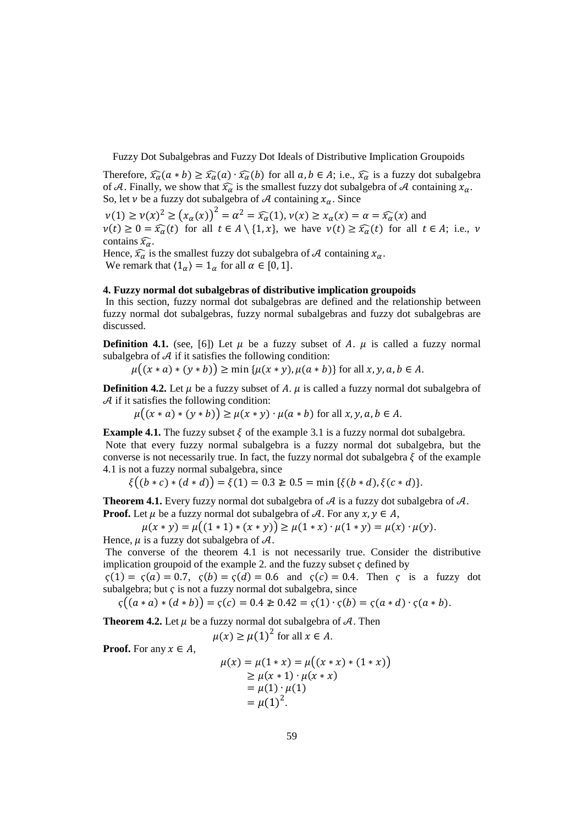Therefore,  $\widehat{x_{\alpha}}(a * b) \ge \widehat{x_{\alpha}}(a) \cdot \widehat{x_{\alpha}}(b)$  for all  $a, b \in A$ ; i.e.,  $\widehat{x_{\alpha}}$  is a fuzzy dot subalgebra of A. Finally, we show that  $\widehat{x_{\alpha}}$  is the smallest fuzzy dot subalgebra of A containing  $x_{\alpha}$ . So, let  $\nu$  be a fuzzy dot subalgebra of A containing  $x_\alpha$ . Since

 $\nu(1) \ge \nu(x)^2 \ge (x_\alpha(x))^2 = \alpha^2 = \widehat{x_\alpha}(1), \nu(x) \ge x_\alpha(x) = \alpha = \widehat{x_\alpha}(x)$  and  $v(t) \geq 0 = \widehat{x_{\alpha}}(t)$  for all  $t \in A \setminus \{1, x\}$ , we have  $v(t) \geq \widehat{x_{\alpha}}(t)$  for all  $t \in A$ ; i.e., v contains  $\widehat{x_{\alpha}}$ .

Hence,  $\widehat{x}_{\alpha}$  is the smallest fuzzy dot subalgebra of A containing  $x_{\alpha}$ . We remark that  $\langle 1_{\alpha} \rangle = 1_{\alpha}$  for all  $\alpha \in [0, 1]$ .

## **4. Fuzzy normal dot subalgebras of distributive implication groupoids**

 In this section, fuzzy normal dot subalgebras are defined and the relationship between fuzzy normal dot subalgebras, fuzzy normal subalgebras and fuzzy dot subalgebras are discussed.

**Definition 4.1.** (see, [6]) Let  $\mu$  be a fuzzy subset of A.  $\mu$  is called a fuzzy normal subalgebra of  $A$  if it satisfies the following condition:

 $\mu((x * a) * (y * b)) \ge \min{\{\mu(x * y), \mu(a * b)\}}$  for all  $x, y, a, b \in A$ .

**Definition 4.2.** Let  $\mu$  be a fuzzy subset of A.  $\mu$  is called a fuzzy normal dot subalgebra of  $A$  if it satisfies the following condition:

 $\mu((x * a) * (y * b)) \ge \mu(x * y) \cdot \mu(a * b)$  for all  $x, y, a, b \in A$ .

**Example 4.1.** The fuzzy subset  $\xi$  of the example 3.1 is a fuzzy normal dot subalgebra. Note that every fuzzy normal subalgebra is a fuzzy normal dot subalgebra, but the converse is not necessarily true. In fact, the fuzzy normal dot subalgebra  $\xi$  of the example 4.1 is not a fuzzy normal subalgebra, since

 $\xi((b * c) * (d * d)) = \xi(1) = 0.3 \not\ge 0.5 = \min \{\xi(b * d), \xi(c * d)\}.$ 

**Theorem 4.1.** Every fuzzy normal dot subalgebra of  $A$  is a fuzzy dot subalgebra of  $A$ . **Proof.** Let  $\mu$  be a fuzzy normal dot subalgebra of  $\mathcal{A}$ . For any  $x, y \in A$ ,

 $\mu(x * y) = \mu((1 * 1) * (x * y)) \geq \mu(1 * x) \cdot \mu(1 * y) = \mu(x) \cdot \mu(y).$ Hence,  $\mu$  is a fuzzy dot subalgebra of  $\mathcal{A}$ .

 The converse of the theorem 4.1 is not necessarily true. Consider the distributive implication groupoid of the example 2. and the fuzzy subset  $\zeta$  defined by

 $\zeta(1) = \zeta(a) = 0.7$ ,  $\zeta(b) = \zeta(d) = 0.6$  and  $\zeta(c) = 0.4$ . Then c is a fuzzy dot subalgebra; but  $\varsigma$  is not a fuzzy normal dot subalgebra, since

$$
\varsigma((a * a) * (d * b)) = \varsigma(c) = 0.4 \ge 0.42 = \varsigma(1) \cdot \varsigma(b) = \varsigma(a * d) \cdot \varsigma(a * b).
$$

**Theorem 4.2.** Let  $\mu$  be a fuzzy normal dot subalgebra of  $\mathcal{A}$ . Then

 $\mu(x) \geq \mu(1)^2$  for all  $x \in A$ .

**Proof.** For any  $x \in A$ ,

$$
\mu(x) = \mu(1 * x) = \mu((x * x) * (1 * x))
$$
  
\n
$$
\geq \mu(x * 1) \cdot \mu(x * x)
$$
  
\n
$$
= \mu(1) \cdot \mu(1)
$$
  
\n
$$
= \mu(1)^{2}.
$$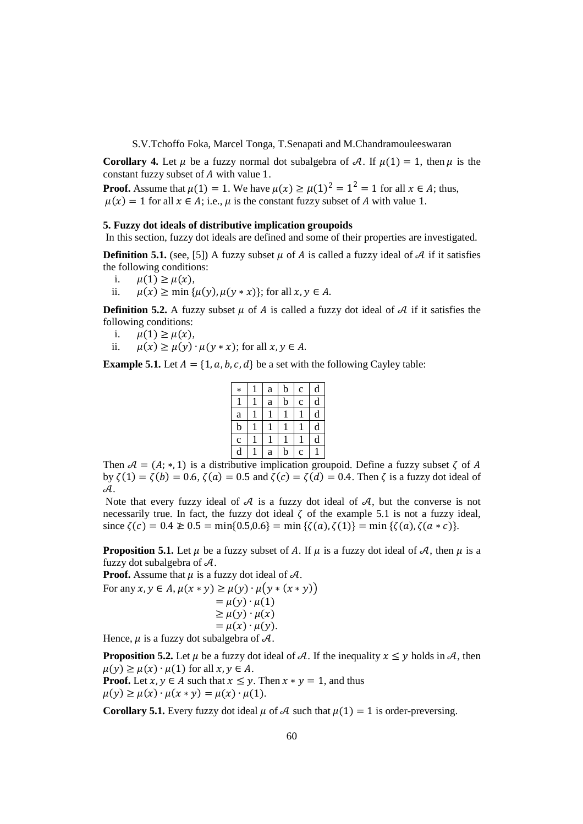**Corollary 4.** Let  $\mu$  be a fuzzy normal dot subalgebra of A. If  $\mu(1) = 1$ , then  $\mu$  is the constant fuzzy subset of  $A$  with value 1.

**Proof.** Assume that  $\mu(1) = 1$ . We have  $\mu(x) \ge \mu(1)^2 = 1^2 = 1$  for all  $x \in A$ ; thus,  $\mu(x) = 1$  for all  $x \in A$ ; i.e.,  $\mu$  is the constant fuzzy subset of A with value 1.

#### **5. Fuzzy dot ideals of distributive implication groupoids**

In this section, fuzzy dot ideals are defined and some of their properties are investigated.

**Definition 5.1.** (see, [5]) A fuzzy subset  $\mu$  of A is called a fuzzy ideal of A if it satisfies the following conditions:

- i.  $\mu(1) \ge \mu(x)$ ,<br>ii.  $\mu(x) > \min \{$
- ii.  $\mu(x) \ge \min{\{\mu(y), \mu(y * x)\}}$ ; for all  $x, y \in A$ .

**Definition 5.2.** A fuzzy subset  $\mu$  of A is called a fuzzy dot ideal of A if it satisfies the following conditions:

- i.  $\mu(1) \ge \mu(x)$ ,<br>ii.  $\mu(x) > \mu(y)$ .
- ii.  $\mu(x) \ge \mu(y) \cdot \mu(y * x)$ ; for all  $x, y \in A$ .

**Example 5.1.** Let  $A = \{1, a, b, c, d\}$  be a set with the following Cayley table:

| $\ast$       | a | $\mathbf b$ | $\mathbf c$ | d |
|--------------|---|-------------|-------------|---|
|              | a | $\mathbf b$ | $\mathbf c$ | d |
| $\rm{a}$     | ι | ı           |             | d |
| b            | L |             |             | d |
| $\mathbf{c}$ |   |             |             | d |
| d            | a | b           | $\mathbf c$ |   |

Then  $A = (A; *, 1)$  is a distributive implication groupoid. Define a fuzzy subset  $\zeta$  of A by  $\zeta(1) = \zeta(b) = 0.6$ ,  $\zeta(a) = 0.5$  and  $\zeta(c) = \zeta(d) = 0.4$ . Then  $\zeta$  is a fuzzy dot ideal of  $A_{\cdot}$ 

Note that every fuzzy ideal of  $A$  is a fuzzy dot ideal of  $A$ , but the converse is not necessarily true. In fact, the fuzzy dot ideal  $\zeta$  of the example 5.1 is not a fuzzy ideal, since  $\zeta(c) = 0.4 \ge 0.5 = \min\{0.5, 0.6\} = \min\{\zeta(a), \zeta(1)\} = \min\{\zeta(a), \zeta(a*c)\}.$ 

**Proposition 5.1.** Let  $\mu$  be a fuzzy subset of A. If  $\mu$  is a fuzzy dot ideal of A, then  $\mu$  is a fuzzy dot subalgebra of  $A$ .

**Proof.** Assume that  $\mu$  is a fuzzy dot ideal of  $\mathcal{A}$ .

For any  $x, y \in A$ ,  $\mu(x * y) \ge \mu(y) \cdot \mu(y * (x * y))$  $= \mu(y) \cdot \mu(1)$  $\geq \mu(y) \cdot \mu(x)$  $= \mu(x) \cdot \mu(y)$ .

Hence,  $\mu$  is a fuzzy dot subalgebra of  $\mathcal{A}$ .

**Proposition 5.2.** Let  $\mu$  be a fuzzy dot ideal of A. If the inequality  $x \leq y$  holds in A, then  $\mu(y) \ge \mu(x) \cdot \mu(1)$  for all  $x, y \in A$ .

**Proof.** Let  $x, y \in A$  such that  $x \leq y$ . Then  $x * y = 1$ , and thus  $\mu(y) \ge \mu(x) \cdot \mu(x * y) = \mu(x) \cdot \mu(1)$ .

**Corollary 5.1.** Every fuzzy dot ideal  $\mu$  of  $\mathcal A$  such that  $\mu(1) = 1$  is order-preversing.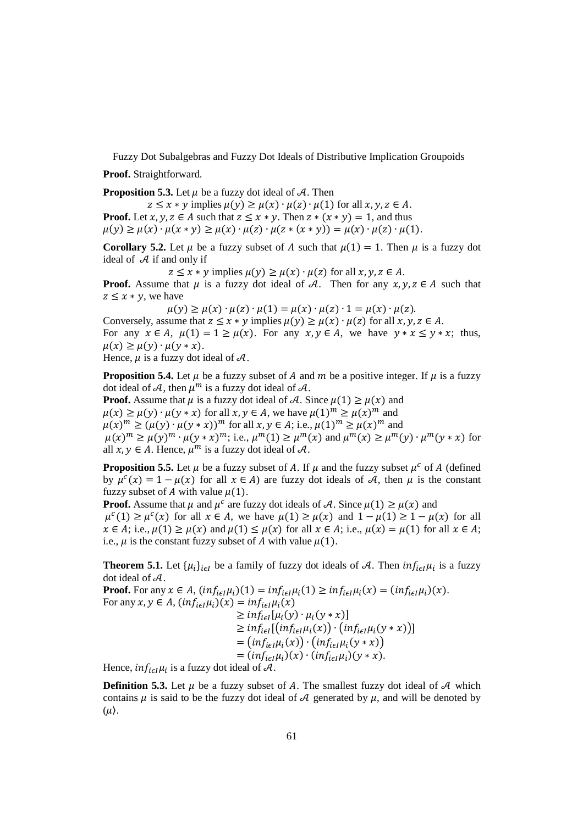**Proof.** Straightforward.

**Proposition 5.3.** Let  $\mu$  be a fuzzy dot ideal of  $\mathcal{A}$ . Then

 $z \leq x * y$  implies  $\mu(y) \geq \mu(x) \cdot \mu(z) \cdot \mu(1)$  for all  $x, y, z \in A$ . **Proof.** Let  $x, y, z \in A$  such that  $z \leq x * y$ . Then  $z * (x * y) = 1$ , and thus  $\mu(y) \ge \mu(x) \cdot \mu(x * y) \ge \mu(x) \cdot \mu(z) \cdot \mu(z * (x * y)) = \mu(x) \cdot \mu(z) \cdot \mu(1).$ 

**Corollary 5.2.** Let  $\mu$  be a fuzzy subset of A such that  $\mu(1) = 1$ . Then  $\mu$  is a fuzzy dot ideal of  $A$  if and only if

 $z \leq x * y$  implies  $\mu(y) \geq \mu(x) \cdot \mu(z)$  for all  $x, y, z \in A$ .

**Proof.** Assume that  $\mu$  is a fuzzy dot ideal of A. Then for any  $x, y, z \in A$  such that  $z \leq x * v$ , we have

 $\mu(y) \ge \mu(x) \cdot \mu(z) \cdot \mu(1) = \mu(x) \cdot \mu(z) \cdot 1 = \mu(x) \cdot \mu(z)$ .

Conversely, assume that  $z \le x * y$  implies  $\mu(y) \ge \mu(x) \cdot \mu(z)$  for all  $x, y, z \in A$ . For any  $x \in A$ ,  $\mu(1) = 1 \ge \mu(x)$ . For any  $x, y \in A$ , we have  $y * x \le y * x$ ; thus,  $\mu(x) \geq \mu(y) \cdot \mu(y * x)$ .

Hence,  $\mu$  is a fuzzy dot ideal of  $\mathcal{A}$ .

**Proposition 5.4.** Let  $\mu$  be a fuzzy subset of A and  $m$  be a positive integer. If  $\mu$  is a fuzzy dot ideal of A, then  $\mu^m$  is a fuzzy dot ideal of A.

**Proof.** Assume that  $\mu$  is a fuzzy dot ideal of A. Since  $\mu(1) \ge \mu(x)$  and  $\mu(x) \ge \mu(y) \cdot \mu(y * x)$  for all  $x, y \in A$ , we have  $\mu(1)^m \ge \mu(x)^m$  and  $\mu(x)^m \ge (\mu(y) \cdot \mu(y * x))^m$  for all  $x, y \in A$ ; i.e.,  $\mu(1)^m \ge \mu(x)^m$  and  $\mu(x)^m \ge \mu(y)^m \cdot \mu(y*x)^m$ ; i.e.,  $\mu^m(1) \ge \mu^m(x)$  and  $\mu^m(x) \ge \mu^m(y) \cdot \mu^m(y*x)$  for all  $x, y \in A$ . Hence,  $\mu^m$  is a fuzzy dot ideal of  $A$ .

**Proposition 5.5.** Let  $\mu$  be a fuzzy subset of A. If  $\mu$  and the fuzzy subset  $\mu^c$  of A (defined by  $\mu^{c}(x) = 1 - \mu(x)$  for all  $x \in A$ ) are fuzzy dot ideals of A, then  $\mu$  is the constant fuzzy subset of A with value  $\mu(1)$ .

**Proof.** Assume that  $\mu$  and  $\mu^c$  are fuzzy dot ideals of A. Since  $\mu(1) \ge \mu(x)$  and  $\mu^{c}(1) \geq \mu^{c}(x)$  for all  $x \in A$ , we have  $\mu(1) \geq \mu(x)$  and  $1 - \mu(1) \geq 1 - \mu(x)$  for all  $x \in A$ ; i.e.,  $\mu(1) \ge \mu(x)$  and  $\mu(1) \le \mu(x)$  for all  $x \in A$ ; i.e.,  $\mu(x) = \mu(1)$  for all  $x \in A$ ; i.e.,  $\mu$  is the constant fuzzy subset of A with value  $\mu(1)$ .

**Theorem 5.1.** Let  $\{\mu_i\}_{i \in I}$  be a family of fuzzy dot ideals of A. Then  $inf_{i \in I} \mu_i$  is a fuzzy dot ideal of  $A$ .

**Proof.** For any  $x \in A$ ,  $(inf_{i\in I}\mu_i)(1) = inf_{i\in I}\mu_i(1) \geq inf_{i\in I}\mu_i(x) = (inf_{i\in I}\mu_i)(x)$ . For any  $x, y \in A$ ,  $(inf_{i\in I}\mu_i)(x) = inf_{i\in I}\mu_i(x)$  $\geq inf_{i\in I}[\mu_i(y)\cdot\mu_i(y*x)]$  $\geq inf_{i\in I}[(inf_{i\in I}\mu_i(x))\cdot (inf_{i\in I}\mu_i(y*x))]$  $= (inf_{i \in I} \mu_i(x)) \cdot (inf_{i \in I} \mu_i(y*x))$  $= (inf_{i \in I} \mu_i)(x) \cdot (inf_{i \in I} \mu_i)(y * x).$ 

Hence,  $inf_{i \in I} \mu_i$  is a fuzzy dot ideal of A.

**Definition 5.3.** Let  $\mu$  be a fuzzy subset of A. The smallest fuzzy dot ideal of A which contains  $\mu$  is said to be the fuzzy dot ideal of A generated by  $\mu$ , and will be denoted by  $(\mu)$ .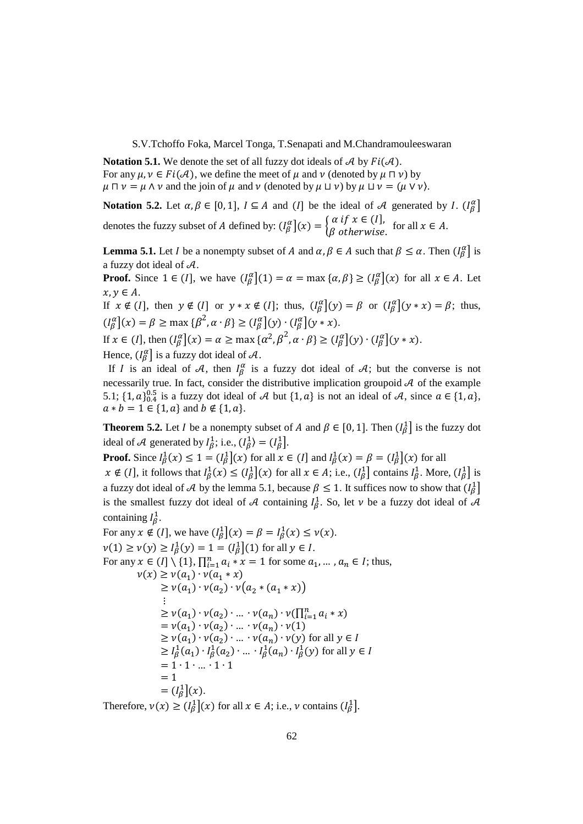**Notation 5.1.** We denote the set of all fuzzy dot ideals of  $A$  by  $Fi(A)$ . For any  $\mu, \nu \in Fi(\mathcal{A})$ , we define the meet of  $\mu$  and  $\nu$  (denoted by  $\mu \sqcap \nu$ ) by  $\mu \sqcap \nu = \mu \wedge \nu$  and the join of  $\mu$  and  $\nu$  (denoted by  $\mu \sqcup \nu$ ) by  $\mu \sqcup \nu = (\mu \vee \nu)$ .

**Notation 5.2.** Let  $\alpha, \beta \in [0, 1]$ ,  $I \subseteq A$  and (*I*] be the ideal of A generated by *I*. ( $I_{\beta}^{\alpha}$ ] denotes the fuzzy subset of A defined by:  $(I_{\beta}^{\alpha}](x) = \begin{cases} \alpha \text{ if } x \in (I], \\ \beta \text{ otherwise.} \end{cases}$  for all  $x \in A$ .

**Lemma 5.1.** Let *I* be a nonempty subset of *A* and  $\alpha, \beta \in A$  such that  $\beta \leq \alpha$ . Then  $\left(I_{\beta}^{\alpha}\right]$  is a fuzzy dot ideal of  $A$ .

**Proof.** Since  $1 \in (I]$ , we have  $\left(\begin{matrix}I_{\beta}^{\alpha}\end{matrix}\right](1) = \alpha = \max\{\alpha, \beta\} \geq \left(\begin{matrix}I_{\beta}^{\alpha}\end{matrix}\right](x)$  for all  $x \in A$ . Let  $x, y \in A$ .

If  $x \notin (I]$ , then  $y \notin (I]$  or  $y * x \notin (I]$ ; thus,  $(I_{\beta}^{\alpha}](y) = \beta$  or  $(I_{\beta}^{\alpha}](y * x) = \beta$ ; thus,  $(I_{\beta}^{\alpha}](x) = \beta \ge \max{\{\beta^2, \alpha \cdot \beta\}} \ge (I_{\beta}^{\alpha}](y) \cdot (I_{\beta}^{\alpha}](y * x).$ 

If 
$$
x \in (I],
$$
 then  $(I_{\beta}^{\alpha}](x) = \alpha \ge \max{\{\alpha^2, \beta^2, \alpha \cdot \beta\}} \ge (I_{\beta}^{\alpha}](y) \cdot (I_{\beta}^{\alpha}](y * x).$ 

Hence,  $(I_{\beta}^{\alpha}]$  is a fuzzy dot ideal of  $\mathcal{A}$ .

If I is an ideal of A, then  $I_{\beta}^{\alpha}$  is a fuzzy dot ideal of A; but the converse is not necessarily true. In fact, consider the distributive implication groupoid  $A$  of the example 5.1;  $\{1, a\}_{0.4}^{0.5}$  is a fuzzy dot ideal of A but  $\{1, a\}$  is not an ideal of A, since  $a \in \{1, a\}$ ,  $a * b = 1 \in \{1, a\}$  and  $b \notin \{1, a\}.$ 

**Theorem 5.2.** Let *I* be a nonempty subset of *A* and  $\beta \in [0, 1]$ . Then  $\left(I_{\beta}^{1}\right]$  is the fuzzy dot ideal of A generated by  $I_{\beta}^1$ ; i.e.,  $(I_{\beta}^1) = (I_{\beta}^1)$ .

**Proof.** Since  $I_{\beta}^1(x) \le 1 = (I_{\beta}^1](x)$  for all  $x \in (I]$  and  $I_{\beta}^1(x) = \beta = (I_{\beta}^1](x)$  for all  $x \notin (I]$ , it follows that  $I_{\beta}^{1}(x) \leq (I_{\beta}^{1}(x))$  for all  $x \in A$ ; i.e.,  $(I_{\beta}^{1}]$  contains  $I_{\beta}^{1}$ . More,  $(I_{\beta}^{1}]$  is a fuzzy dot ideal of A by the lemma 5.1, because  $\beta \le 1$ . It suffices now to show that  $\begin{pmatrix} 1 \\ \beta \end{pmatrix}$ is the smallest fuzzy dot ideal of A containing  $I_{\beta}^1$ . So, let  $\nu$  be a fuzzy dot ideal of A containing  $I_{\beta}^1$ .

For any  $x \notin (I]$ , we have  $\left(\frac{I_{\beta}}{\beta}\right](x) = \beta = I_{\beta}^{1}(x) \leq v(x)$ .  $v(1) \ge v(y) \ge l_{\beta}^{1}(y) = 1 = (l_{\beta}^{1}(1))$  for all  $y \in I$ . For any  $x \in (I] \setminus \{1\}, \prod_{i=1}^{n} a_i * x = 1$  for some  $a_1, ..., a_n \in I$ ; thus,  $\nu(x) \geq \nu(a_1) \cdot \nu(a_1 * x)$  $\geq v(a_1) \cdot v(a_2) \cdot v(a_2 * (a_1 * x))$  $\sim 10^{11}$  $\geq v(a_1) \cdot v(a_2) \cdot ... \cdot v(a_n) \cdot v(\prod_{i=1}^n a_i * x)$  $= v(a_1) \cdot v(a_2) \cdot ... \cdot v(a_n) \cdot v(1)$  $\geq \nu(a_1) \cdot \nu(a_2) \cdot ... \cdot \nu(a_n) \cdot \nu(y)$  for all  $y \in I$  $\geq l_{\beta}^{1}(a_{1}) \cdot l_{\beta}^{1}(a_{2}) \cdot ... \cdot l_{\beta}^{1}(a_{n}) \cdot l_{\beta}^{1}(y)$  for all  $y \in I$  $= 1 \cdot 1 \cdot ... \cdot 1 \cdot 1$  $= 1$  $= (I_{\beta}^{1}](x).$ 

Therefore,  $v(x) \geq (l_{\beta}^{1}](x)$  for all  $x \in A$ ; i.e.,  $v$  contains  $(l_{\beta}^{1}]$ .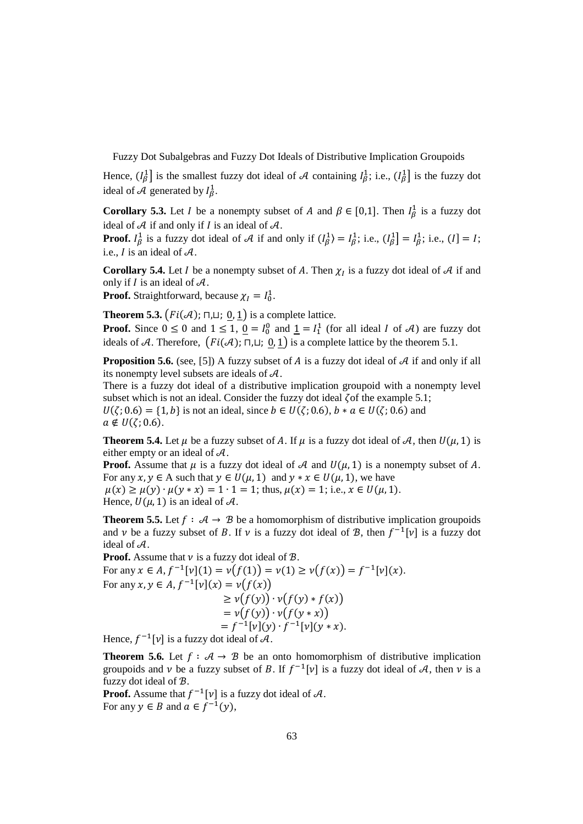Hence,  $(l_\beta^1]$  is the smallest fuzzy dot ideal of A containing  $l_\beta^1$ ; i.e.,  $(l_\beta^1]$  is the fuzzy dot ideal of A generated by  $I_{\beta}^1$ .

**Corollary 5.3.** Let *I* be a nonempty subset of *A* and  $\beta \in [0,1]$ . Then  $I_{\beta}^1$  is a fuzzy dot ideal of  $A$  if and only if  $I$  is an ideal of  $A$ .

**Proof.**  $I_{\beta}^1$  is a fuzzy dot ideal of A if and only if  $(I_{\beta}^1) = I_{\beta}^1$ ; i.e.,  $(I_{\beta}^1) = I_{\beta}^1$ ; i.e.,  $(I) = I$ ; i.e.,  $I$  is an ideal of  $A$ .

**Corollary 5.4.** Let *I* be a nonempty subset of *A*. Then  $\chi$ <sup>*I*</sup> is a fuzzy dot ideal of *A* if and only if  $I$  is an ideal of  $A$ .

**Proof.** Straightforward, because  $\chi_I = I_0^1$ .

**Theorem 5.3.**  $\left(Fi(\mathcal{A}); \sqcap, \sqcup; \underline{0}, \underline{1}\right)$  is a complete lattice.

**Proof.** Since  $0 \le 0$  and  $1 \le 1$ ,  $0 = I_0^0$  and  $1 = I_1^1$  (for all ideal *I* of *A*) are fuzzy dot ideals of A. Therefore,  $(Fi(\mathcal{A}); \Pi, \Pi)$ ; 0, 1 is a complete lattice by the theorem 5.1.

**Proposition 5.6.** (see, [5]) A fuzzy subset of  $A$  is a fuzzy dot ideal of  $A$  if and only if all its nonempty level subsets are ideals of  $A$ .

There is a fuzzy dot ideal of a distributive implication groupoid with a nonempty level subset which is not an ideal. Consider the fuzzy dot ideal  $\zeta$  of the example 5.1;  $U(\zeta; 0.6) = \{1, b\}$  is not an ideal, since  $b \in U(\zeta; 0.6)$ ,  $b * a \in U(\zeta; 0.6)$  and  $a \notin U(\zeta; 0.6).$ 

**Theorem 5.4.** Let  $\mu$  be a fuzzy subset of A. If  $\mu$  is a fuzzy dot ideal of A, then  $U(\mu, 1)$  is either empty or an ideal of  $\mathcal{A}$ .

**Proof.** Assume that  $\mu$  is a fuzzy dot ideal of  $\mathcal A$  and  $U(\mu, 1)$  is a nonempty subset of  $A$ . For any  $x, y \in A$  such that  $y \in U(u, 1)$  and  $y * x \in U(u, 1)$ , we have  $\mu(x) \ge \mu(y) \cdot \mu(y * x) = 1 \cdot 1 = 1$ ; thus,  $\mu(x) = 1$ ; i.e.,  $x \in U(\mu, 1)$ .

Hence,  $U(\mu, 1)$  is an ideal of  $\mathcal{A}$ .

**Theorem 5.5.** Let  $f : A \rightarrow B$  be a homomorphism of distributive implication groupoids and  $\nu$  be a fuzzy subset of B. If  $\nu$  is a fuzzy dot ideal of B, then  $f^{-1}[\nu]$  is a fuzzy dot ideal of  $A$ .

**Proof.** Assume that  $\nu$  is a fuzzy dot ideal of  $\mathcal{B}$ .

For any  $x \in A$ ,  $f^{-1}[v](1) = v(f(1)) = v(1) \ge v(f(x)) = f^{-1}[v](x)$ . For any  $x, y \in A$ ,  $f^{-1}[v](x) = v(f(x))$  $\geq v(f(y)) \cdot v(f(y) * f(x))$  $= v(f(y)) \cdot v(f(y * x))$  $= f^{-1}[\nu](y) \cdot f^{-1}[\nu](y * x).$ Hence,  $f^{-1}[\nu]$  is a fuzzy dot ideal of  $\mathcal{A}$ .

**Theorem 5.6.** Let  $f : A \rightarrow B$  be an onto homomorphism of distributive implication groupoids and  $\nu$  be a fuzzy subset of B. If  $f^{-1}[\nu]$  is a fuzzy dot ideal of A, then  $\nu$  is a fuzzy dot ideal of ℬ.

**Proof.** Assume that  $f^{-1}[v]$  is a fuzzy dot ideal of  $\mathcal{A}$ . For any  $y \in B$  and  $a \in f^{-1}(y)$ ,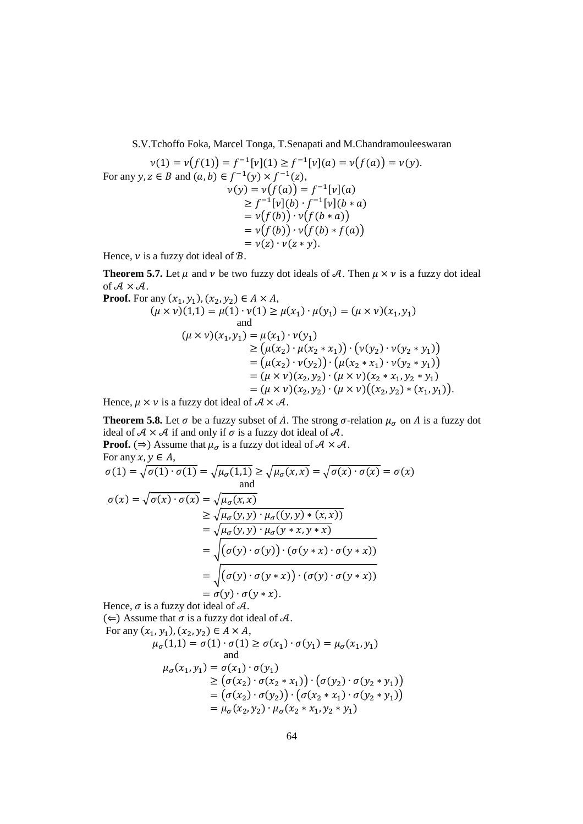$\mathbf{L}$ 

$$
v(1) = v(f(1)) = f^{-1}[v](1) \ge f^{-1}[v](a) = v(f(a)) = v(y).
$$
  
For any  $y, z \in B$  and  $(a, b) \in f^{-1}(y) \times f^{-1}(z)$ ,  

$$
v(y) = v(f(a)) = f^{-1}[v](a)
$$

$$
\ge f^{-1}[v](b) \cdot f^{-1}[v](b * a)
$$

$$
= v(f(b)) \cdot v(f(b * a))
$$

$$
= v(z) \cdot v(z * y).
$$

Hence,  $\nu$  is a fuzzy dot ideal of  $\mathcal{B}$ .

**Theorem 5.7.** Let  $\mu$  and  $\nu$  be two fuzzy dot ideals of A. Then  $\mu \times \nu$  is a fuzzy dot ideal of  $A \times A$ . Proof.

Proof. For any 
$$
(x_1, y_1)
$$
,  $(x_2, y_2) \in A \times A$ ,  
\n $(\mu \times \nu)(1,1) = \mu(1) \cdot \nu(1) \ge \mu(x_1) \cdot \mu(y_1) = (\mu \times \nu)(x_1, y_1)$   
\nand  
\n $(\mu \times \nu)(x_1, y_1) = \mu(x_1) \cdot \nu(y_1)$   
\n $\ge (\mu(x_2) \cdot \mu(x_2 * x_1)) \cdot (\nu(y_2) \cdot \nu(y_2 * y_1))$   
\n $= (\mu(x_2) \cdot \nu(y_2)) \cdot (\mu(x_2 * x_1) \cdot \nu(y_2 * y_1))$   
\n $= (\mu \times \nu)(x_2, y_2) \cdot (\mu \times \nu)(x_2 * x_1, y_2 * y_1)$   
\n $= (\mu \times \nu)(x_2, y_2) \cdot (\mu \times \nu)((x_2, y_2) * (x_1, y_1)).$ 

Hence,  $\mu \times \nu$  is a fuzzy dot ideal of  $\mathcal{A} \times \mathcal{A}$ .

**Theorem 5.8.** Let  $\sigma$  be a fuzzy subset of A. The strong  $\sigma$ -relation  $\mu_{\sigma}$  on A is a fuzzy dot ideal of  $A \times A$  if and only if  $\sigma$  is a fuzzy dot ideal of  $A$ . **Proof.** ( $\Rightarrow$ ) Assume that  $\mu_{\sigma}$  is a fuzzy dot ideal of  $\mathcal{A} \times \mathcal{A}$ .

From any 
$$
x, y \in A
$$
,  
\n
$$
\sigma(1) = \sqrt{\sigma(1) \cdot \sigma(1)} = \sqrt{\mu_{\sigma}(1,1)} \ge \sqrt{\mu_{\sigma}(x,x)} = \sqrt{\sigma(x) \cdot \sigma(x)} = \sigma(x)
$$
\nand  
\n
$$
\sigma(x) = \sqrt{\sigma(x) \cdot \sigma(x)} = \sqrt{\mu_{\sigma}(x,x)} \ge \sqrt{\mu_{\sigma}(y,y) \cdot \mu_{\sigma}((y,y) * (x,x))} = \sqrt{\mu_{\sigma}(y,y) \cdot \mu_{\sigma}(y * x, y * x)} = \sqrt{\mu_{\sigma}(y,y) \cdot \mu_{\sigma}(y * x, y * x)} = \sqrt{(\sigma(y) \cdot \sigma(y)) \cdot (\sigma(y * x) \cdot \sigma(y * x))} = \sqrt{(\sigma(y) \cdot \sigma(y * x)) \cdot (\sigma(y) \cdot \sigma(y * x))} = \sigma(y) \cdot \sigma(y * x).
$$

Hence,  $\sigma$  is a fuzzy dot ideal of  $\mathcal{A}$ .

(←) Assume that  $\sigma$  is a fuzzy dot ideal of  $\mathcal{A}$ . For any (

For any 
$$
(x_1, y_1), (x_2, y_2) \in A \times A
$$
,  
\n $\mu_{\sigma}(1,1) = \sigma(1) \cdot \sigma(1) \ge \sigma(x_1) \cdot \sigma(y_1) = \mu_{\sigma}(x_1, y_1)$   
\nand  
\n $\mu_{\sigma}(x_1, y_1) = \sigma(x_1) \cdot \sigma(y_1)$   
\n $\ge (\sigma(x_2) \cdot \sigma(x_2 * x_1)) \cdot (\sigma(y_2) \cdot \sigma(y_2 * y_1))$   
\n $= (\sigma(x_2) \cdot \sigma(y_2)) \cdot (\sigma(x_2 * x_1) \cdot \sigma(y_2 * y_1))$   
\n $= \mu_{\sigma}(x_2, y_2) \cdot \mu_{\sigma}(x_2 * x_1, y_2 * y_1)$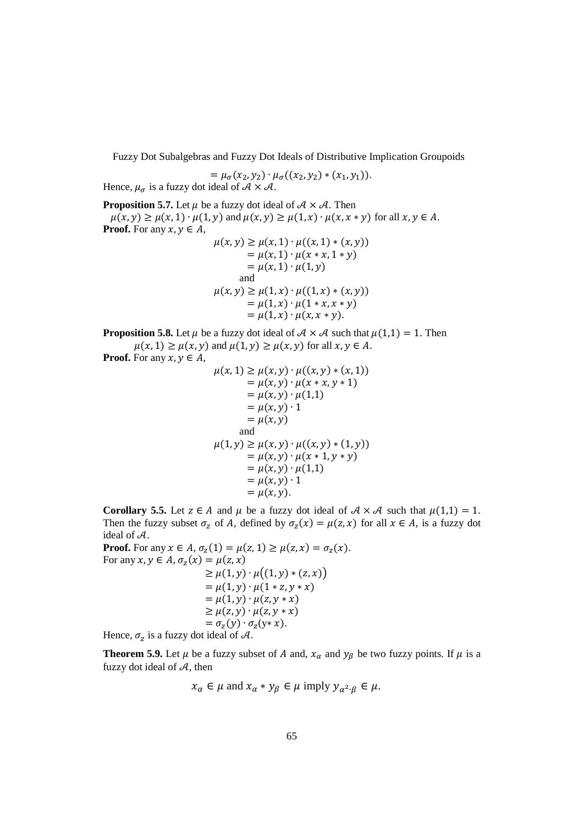$$
= \mu_{\sigma}(x_2, y_2) \cdot \mu_{\sigma}((x_2, y_2) * (x_1, y_1)).
$$
  
Hence  $\mu_{\sigma}$  is a fuzzy dot ideal of  $\mathcal{A} \times \mathcal{A}$ 

Hence,  $\mu_{\sigma}$  is a fuzzy dot ideal of  $\mathcal{A} \times \mathcal{A}$ .

**Proposition 5.7.** Let  $\mu$  be a fuzzy dot ideal of  $\mathcal{A} \times \mathcal{A}$ . Then  $\mu(x, y) \ge \mu(x, 1) \cdot \mu(1, y)$  and  $\mu(x, y) \ge \mu(1, x) \cdot \mu(x, x * y)$  for all  $x, y \in A$ . **Proof.** For any  $x, y \in A$ ,

$$
\mu(x, y) \ge \mu(x, 1) \cdot \mu((x, 1) * (x, y))
$$
  
=  $\mu(x, 1) \cdot \mu(x * x, 1 * y)$   
=  $\mu(x, 1) \cdot \mu(1, y)$   
and  
 $\mu(x, y) \ge \mu(1, x) \cdot \mu((1, x) * (x, y))$   
=  $\mu(1, x) \cdot \mu(1 * x, x * y)$   
=  $\mu(1, x) \cdot \mu(x, x * y).$ 

**Proposition 5.8.** Let  $\mu$  be a fuzzy dot ideal of  $\mathcal{A} \times \mathcal{A}$  such that  $\mu(1,1) = 1$ . Then  $\mu(x, 1) \ge \mu(x, y)$  and  $\mu(1, y) \ge \mu(x, y)$  for all  $x, y \in A$ .

**Proof.** For any  $x, y \in A$ ,

$$
\mu(x, 1) \ge \mu(x, y) \cdot \mu((x, y) * (x, 1))
$$
  
=  $\mu(x, y) \cdot \mu(x * x, y * 1)$   
=  $\mu(x, y) \cdot \mu(1, 1)$   
=  $\mu(x, y) \cdot 1$   
=  $\mu(x, y)$   
and  

$$
\mu(1, y) \ge \mu(x, y) \cdot \mu((x, y) * (1, y))
$$
  
=  $\mu(x, y) \cdot \mu(x * 1, y * y)$   
=  $\mu(x, y) \cdot \mu(1, 1)$   
=  $\mu(x, y) \cdot 1$   
=  $\mu(x, y)$ .

**Corollary 5.5.** Let  $z \in A$  and  $\mu$  be a fuzzy dot ideal of  $A \times A$  such that  $\mu(1,1) = 1$ . Then the fuzzy subset  $\sigma_z$  of A, defined by  $\sigma_z(x) = \mu(z, x)$  for all  $x \in A$ , is a fuzzy dot ideal of  $A$ .

**Proof.** For any  $x \in A$ ,  $\sigma_z(1) = \mu(z, 1) \ge \mu(z, x) = \sigma_z(x)$ . For any  $x, y \in A$ ,  $\sigma_z(x) = \mu(z, x)$  $\geq \mu(1, y) \cdot \mu((1, y) * (z, x))$  $= \mu(1, y) \cdot \mu(1 * z, y * x)$  $= \mu(1, y) \cdot \mu(z, y * x)$  $\geq \mu(z,y) \cdot \mu(z,y*x)$  $= \sigma_z(y) \cdot \sigma_z(y \ast x).$ 

Hence,  $\sigma_z$  is a fuzzy dot ideal of A.

**Theorem 5.9.** Let  $\mu$  be a fuzzy subset of A and,  $x_{\alpha}$  and  $y_{\beta}$  be two fuzzy points. If  $\mu$  is a fuzzy dot ideal of  $A$ , then

$$
x_{\alpha} \in \mu \text{ and } x_{\alpha} * y_{\beta} \in \mu \text{ imply } y_{\alpha^2 \cdot \beta} \in \mu.
$$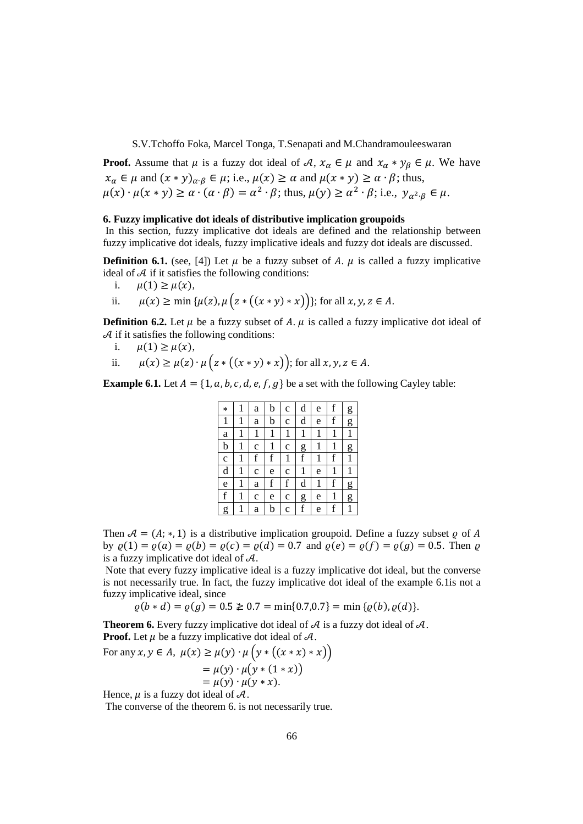**Proof.** Assume that  $\mu$  is a fuzzy dot ideal of  $\mathcal{A}, \mathcal{X}_{\alpha} \in \mu$  and  $\mathcal{X}_{\alpha} * \mathcal{Y}_{\beta} \in \mu$ . We have  $x_{\alpha} \in \mu$  and  $(x * y)_{\alpha \cdot \beta} \in \mu$ ; i.e.,  $\mu(x) \ge \alpha$  and  $\mu(x * y) \ge \alpha \cdot \beta$ ; thus,  $\mu(x) \cdot \mu(x * y) \ge \alpha \cdot (\alpha \cdot \beta) = \alpha^2 \cdot \beta$ ; thus,  $\mu(y) \ge \alpha^2 \cdot \beta$ ; i.e.,  $y_{\alpha^2 \cdot \beta} \in \mu$ .

## **6. Fuzzy implicative dot ideals of distributive implication groupoids**

 In this section, fuzzy implicative dot ideals are defined and the relationship between fuzzy implicative dot ideals, fuzzy implicative ideals and fuzzy dot ideals are discussed.

**Definition 6.1.** (see, [4]) Let  $\mu$  be a fuzzy subset of A.  $\mu$  is called a fuzzy implicative ideal of A if it satisfies the following conditions:<br>i.  $\mu(1) \ge \mu(x)$ .

- $\mu(1) \geq \mu(x),$
- ii.  $\mu(x) \ge \min \{ \mu(z), \mu \{ z * ((x * y) * x) \} \}$ ; for all  $x, y, z \in A$ .

**Definition 6.2.** Let  $\mu$  be a fuzzy subset of A.  $\mu$  is called a fuzzy implicative dot ideal of A if it satisfies the following conditions:<br>i.  $u(1) > u(x)$ .

- $\mu(1) \geq \mu(x),$
- ii.  $\mu(x) \ge \mu(z) \cdot \mu\big(z * ((x * y) * x)\big)$ ; for all  $x, y, z \in A$ .

**Example 6.1.** Let  $A = \{1, a, b, c, d, e, f, g\}$  be a set with the following Cayley table:

| $\ast$      |   | a           | b | $\mathbf c$ | d           | e | f            | g |
|-------------|---|-------------|---|-------------|-------------|---|--------------|---|
| 1           | 1 | a           | b | c           | d           | e | f            | g |
| a           |   | 1           |   | 1           | 1           | 1 | $\mathbf{1}$ | 1 |
| b           |   | c           |   | c           | g           | 1 | $\mathbf{1}$ | g |
| $\mathbf c$ |   | f           | f | 1           | $\mathbf f$ | 1 | f            | 1 |
| d           |   | $\mathbf c$ | e | c           | 1           | e | 1            | 1 |
| e           | 1 | a           | f | f           | d           | 1 | f            | g |
| $\mathbf f$ | 1 | C           | e | $\mathbf c$ | g           | e | $\mathbf{1}$ | g |
| g           |   | a           |   | $\mathbf c$ | $\mathbf f$ | e | $\mathbf f$  | 1 |

Then  $A = (A; *, 1)$  is a distributive implication groupoid. Define a fuzzy subset  $\rho$  of A by  $\rho(1) = \rho(a) = \rho(b) = \rho(c) = \rho(d) = 0.7$  and  $\rho(e) = \rho(f) = \rho(g) = 0.5$ . Then  $\rho$ is a fuzzy implicative dot ideal of  $A$ .

 Note that every fuzzy implicative ideal is a fuzzy implicative dot ideal, but the converse is not necessarily true. In fact, the fuzzy implicative dot ideal of the example 6.1is not a fuzzy implicative ideal, since

 $\rho(b * d) = \rho(g) = 0.5 \geq 0.7 = \min\{0.7, 0.7\} = \min\{\rho(b), \rho(d)\}.$ 

**Theorem 6.** Every fuzzy implicative dot ideal of  $A$  is a fuzzy dot ideal of  $A$ . **Proof.** Let  $\mu$  be a fuzzy implicative dot ideal of  $\mathcal{A}$ .

For any 
$$
x, y \in A
$$
,  $\mu(x) \ge \mu(y) \cdot \mu(y * ((x * x) * x))$   
=  $\mu(y) \cdot \mu(y * (1 * x))$   
=  $\mu(y) \cdot \mu(y * x)$ .

Hence,  $\mu$  is a fuzzy dot ideal of  $\mathcal{A}$ .

The converse of the theorem 6. is not necessarily true.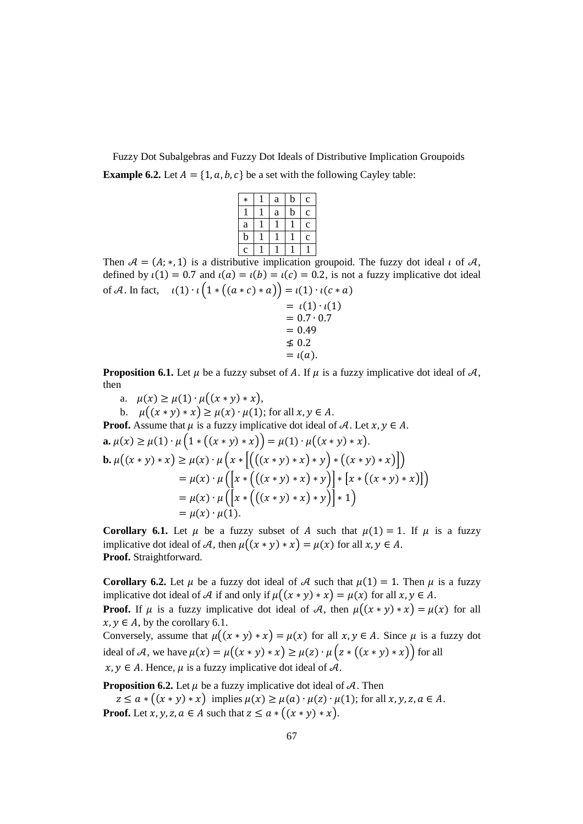Fuzzy Dot Subalgebras and Fuzzy Dot Ideals of Distributive Implication Groupoids **Example 6.2.** Let  $A = \{1, a, b, c\}$  be a set with the following Cayley table:

| $\ast$         | a | b           | $\mathbf c$ |
|----------------|---|-------------|-------------|
|                | a | $\mathbf b$ | $\mathbf c$ |
| a              |   |             | $\mathbf c$ |
| $\mathbf b$    |   |             | $\mathbf c$ |
| $\overline{c}$ |   |             |             |

Then  $A = (A; *, 1)$  is a distributive implication groupoid. The fuzzy dot ideal  $\iota$  of  $A$ , defined by  $\iota(1) = 0.7$  and  $\iota(a) = \iota(b) = \iota(c) = 0.2$ , is not a fuzzy implicative dot ideal of A. In fact,  $\iota(1) \cdot \iota(1 * ((a * c) * a)) = \iota(1) \cdot \iota(c * a)$ 

$$
= i(1) \cdot i(1) \n= 0.7 \cdot 0.7 \n= 0.49 \n\le 0.2 \n= i(a).
$$

**Proposition 6.1.** Let  $\mu$  be a fuzzy subset of A. If  $\mu$  is a fuzzy implicative dot ideal of A, then

a.  $\mu(x) \geq \mu(1) \cdot \mu((x * y) * x),$ 

b.  $\mu((x * y) * x) \ge \mu(x) \cdot \mu(1)$ ; for all  $x, y \in A$ . **Proof.** Assume that  $\mu$  is a fuzzy implicative dot ideal of A. Let  $x, y \in A$ .  $a. \mu(x) \ge \mu(1) \cdot \mu\Big(1 * ((x * y) * x)\Big) = \mu(1) \cdot \mu\Big((x * y) * x\Big).$ **b.**  $\mu((x * y) * x) \ge \mu(x) \cdot \mu(x * [((x * y) * x) * y) * ((x * y) * x)])$  $= \mu(x) \cdot \mu\left(\left[x * (((x * y) * x) * y)\right] * \left[x * ((x * y) * x)\right]\right)$  $= \mu(x) \cdot \mu\left(\left[x * (((x * y) * x) * y)\right] * 1\right)$  $= \mu(x) \cdot \mu(1).$ 

**Corollary 6.1.** Let  $\mu$  be a fuzzy subset of A such that  $\mu(1) = 1$ . If  $\mu$  is a fuzzy implicative dot ideal of A, then  $\mu((x * y) * x) = \mu(x)$  for all  $x, y \in A$ . **Proof.** Straightforward.

**Corollary 6.2.** Let  $\mu$  be a fuzzy dot ideal of A such that  $\mu(1) = 1$ . Then  $\mu$  is a fuzzy implicative dot ideal of A if and only if  $\mu((x * y) * x) = \mu(x)$  for all  $x, y \in A$ . **Proof.** If  $\mu$  is a fuzzy implicative dot ideal of A, then  $\mu((x * y) * x) = \mu(x)$  for all  $x, y \in A$ , by the corollary 6.1.

Conversely, assume that  $\mu((x * y) * x) = \mu(x)$  for all  $x, y \in A$ . Since  $\mu$  is a fuzzy dot ideal of A, we have  $\mu(x) = \mu((x * y) * x) \ge \mu(z) \cdot \mu((x * y) * x)$  for all  $x, y \in A$ . Hence,  $\mu$  is a fuzzy implicative dot ideal of  $\mathcal{A}$ .

**Proposition 6.2.** Let  $\mu$  be a fuzzy implicative dot ideal of  $\mathcal{A}$ . Then

 $z \le a * ((x * y) * x)$  implies  $\mu(x) \ge \mu(a) \cdot \mu(z) \cdot \mu(1)$ ; for all  $x, y, z, a \in A$ . **Proof.** Let  $x, y, z, a \in A$  such that  $z \le a * ((x * y) * x)$ .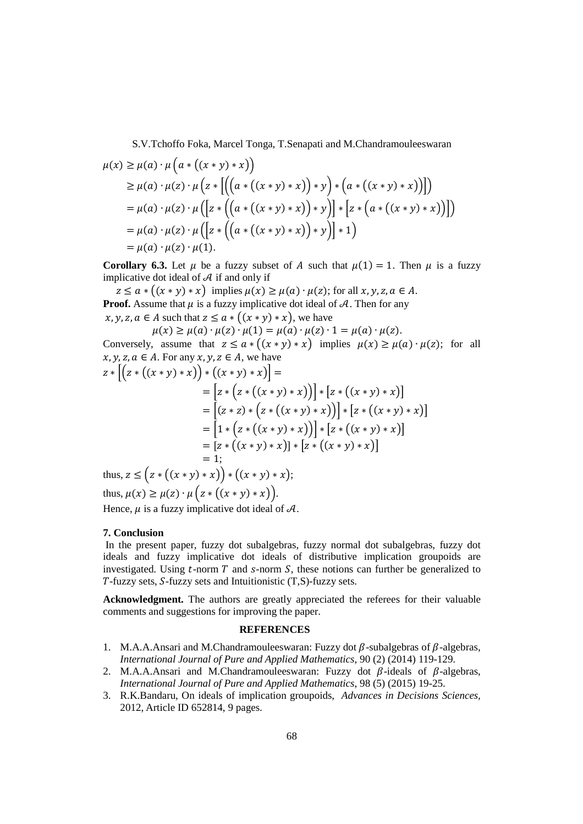$$
\mu(x) \ge \mu(a) \cdot \mu\left(a * ((x * y) * x)\right)
$$
  
\n
$$
\ge \mu(a) \cdot \mu(z) \cdot \mu\left(z * [((a * ((x * y) * x)) * y) * (a * ((x * y) * x))])\right)
$$
  
\n
$$
= \mu(a) \cdot \mu(z) \cdot \mu([z * ((a * ((x * y) * x)) * y)] * [z * (a * ((x * y) * x))])
$$
  
\n
$$
= \mu(a) \cdot \mu(z) \cdot \mu([z * ((a * ((x * y) * x)) * y)] * 1)
$$
  
\n
$$
= \mu(a) \cdot \mu(z) \cdot \mu(1).
$$

**Corollary 6.3.** Let  $\mu$  be a fuzzy subset of A such that  $\mu(1) = 1$ . Then  $\mu$  is a fuzzy implicative dot ideal of  $A$  if and only if

 $z \le a * ((x * y) * x)$  implies  $\mu(x) \ge \mu(a) \cdot \mu(z)$ ; for all  $x, y, z, a \in A$ . **Proof.** Assume that  $\mu$  is a fuzzy implicative dot ideal of  $\mathcal{A}$ . Then for any  $x, y, z, a \in A$  such that  $z \le a * ((x * y) * x)$ , we have

 $\mu(x) \ge \mu(a) \cdot \mu(z) \cdot \mu(1) = \mu(a) \cdot \mu(z) \cdot 1 = \mu(a) \cdot \mu(z).$ Conversely, assume that  $z \le a * ((x * y) * x)$  implies  $\mu(x) \ge \mu(a) \cdot \mu(z)$ ; for all  $x, y, z, a \in A$ . For any  $x, y, z \in A$ , we have  $[(1 - (6 + \lambda) \cdot \lambda)(\alpha + \alpha)]$ 

$$
z * [(z * ((x * y) * x)) * ((x * y) * x)] =
$$
  
\n
$$
= [z * (z * ((x * y) * x))] * [z * ((x * y) * x)]
$$
  
\n
$$
= [(z * z) * (z * ((x * y) * x))] * [z * ((x * y) * x)]
$$
  
\n
$$
= [1 * (z * ((x * y) * x))] * [z * ((x * y) * x)]
$$
  
\n
$$
= [z * ((x * y) * x)] * [z * ((x * y) * x)]
$$
  
\n
$$
= 1;
$$
  
\nthus  $z < (z * ((x * y) * x)) * ((x * y) * x)$ .

thus,  $z \leq (z * ((x * y) * x)) * ((x * y) * x);$ thus,  $\mu(x) \ge \mu(z) \cdot \mu\left(z * ((x * y) * x)\right)$ .

Hence,  $\mu$  is a fuzzy implicative dot ideal of  $\mathcal{A}$ .

## **7. Conclusion**

 In the present paper, fuzzy dot subalgebras, fuzzy normal dot subalgebras, fuzzy dot ideals and fuzzy implicative dot ideals of distributive implication groupoids are investigated. Using  $t$ -norm  $T$  and  $s$ -norm  $S$ , these notions can further be generalized to  $T$ -fuzzy sets,  $S$ -fuzzy sets and Intuitionistic  $(T,S)$ -fuzzy sets.

**Acknowledgment.** The authors are greatly appreciated the referees for their valuable comments and suggestions for improving the paper.

#### **REFERENCES**

- 1. M.A.A.Ansari and M.Chandramouleeswaran: Fuzzy dot  $\beta$ -subalgebras of  $\beta$ -algebras, *International Journal of Pure and Applied Mathematics,* 90 (2) (2014) 119-129.
- 2. M.A.A.Ansari and M.Chandramouleeswaran: Fuzzy dot  $\beta$ -ideals of  $\beta$ -algebras, *International Journal of Pure and Applied Mathematics*, 98 (5) (2015) 19-25.
- 3. R.K.Bandaru, On ideals of implication groupoids, *Advances in Decisions Sciences,*  2012, Article ID 652814, 9 pages.